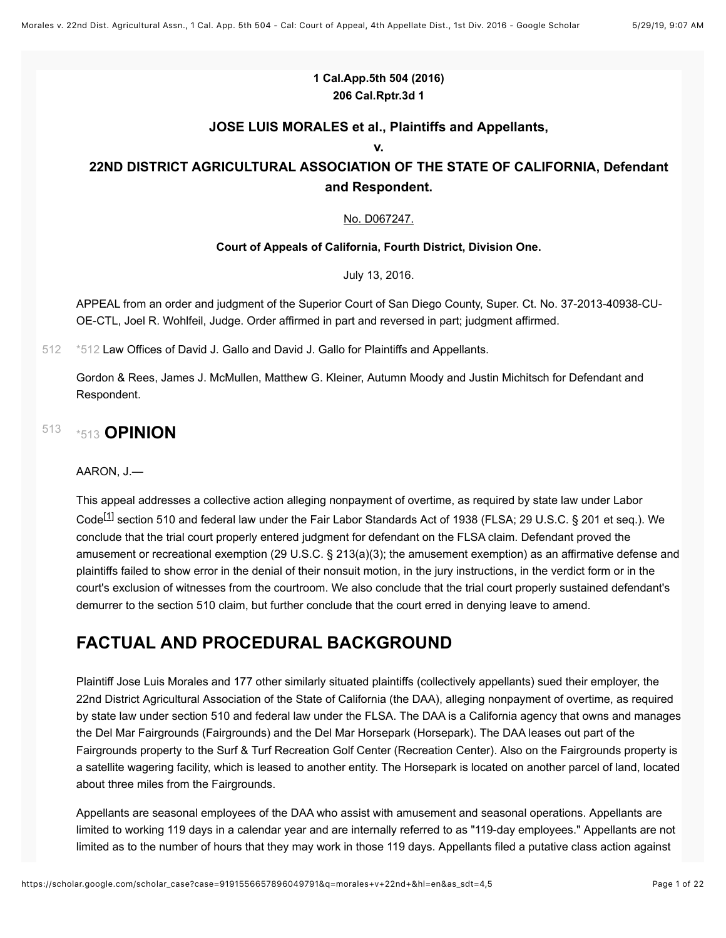#### **1 Cal.App.5th 504 (2016) 206 Cal.Rptr.3d 1**

#### **JOSE LUIS MORALES et al., Plaintiffs and Appellants,**

**v.**

#### **22ND DISTRICT AGRICULTURAL ASSOCIATION OF THE STATE OF CALIFORNIA, Defendant and Respondent.**

#### [No. D067247.](https://scholar.google.com/scholar?scidkt=10955341213810376065&as_sdt=2&hl=en)

#### **Court of Appeals of California, Fourth District, Division One.**

July 13, 2016.

APPEAL from an order and judgment of the Superior Court of San Diego County, Super. Ct. No. 37-2013-40938-CU-OE-CTL, Joel R. Wohlfeil, Judge. Order affirmed in part and reversed in part; judgment affirmed.

[512](#page-0-0) [\\*512](#page-0-0) Law Offices of David J. Gallo and David J. Gallo for Plaintiffs and Appellants.

<span id="page-0-0"></span>Gordon & Rees, James J. McMullen, Matthew G. Kleiner, Autumn Moody and Justin Michitsch for Defendant and Respondent.

#### <span id="page-0-1"></span>[513](#page-0-1) [\\*513](#page-0-1) **OPINION**

#### AARON, J.—

This appeal addresses a collective action alleging nonpayment of overtime, as required by state law under Labor

<span id="page-0-2"></span>Code<sup>[\[1\]](#page-19-0)</sup> section 510 and federal law under the Fair Labor Standards Act of 1938 (FLSA; 29 U.S.C. § 201 et seq.). We conclude that the trial court properly entered judgment for defendant on the FLSA claim. Defendant proved the amusement or recreational exemption (29 U.S.C. § 213(a)(3); the amusement exemption) as an affirmative defense and plaintiffs failed to show error in the denial of their nonsuit motion, in the jury instructions, in the verdict form or in the court's exclusion of witnesses from the courtroom. We also conclude that the trial court properly sustained defendant's demurrer to the section 510 claim, but further conclude that the court erred in denying leave to amend.

### **FACTUAL AND PROCEDURAL BACKGROUND**

Plaintiff Jose Luis Morales and 177 other similarly situated plaintiffs (collectively appellants) sued their employer, the 22nd District Agricultural Association of the State of California (the DAA), alleging nonpayment of overtime, as required by state law under section 510 and federal law under the FLSA. The DAA is a California agency that owns and manages the Del Mar Fairgrounds (Fairgrounds) and the Del Mar Horsepark (Horsepark). The DAA leases out part of the Fairgrounds property to the Surf & Turf Recreation Golf Center (Recreation Center). Also on the Fairgrounds property is a satellite wagering facility, which is leased to another entity. The Horsepark is located on another parcel of land, located about three miles from the Fairgrounds.

Appellants are seasonal employees of the DAA who assist with amusement and seasonal operations. Appellants are limited to working 119 days in a calendar year and are internally referred to as "119-day employees." Appellants are not limited as to the number of hours that they may work in those 119 days. Appellants filed a putative class action against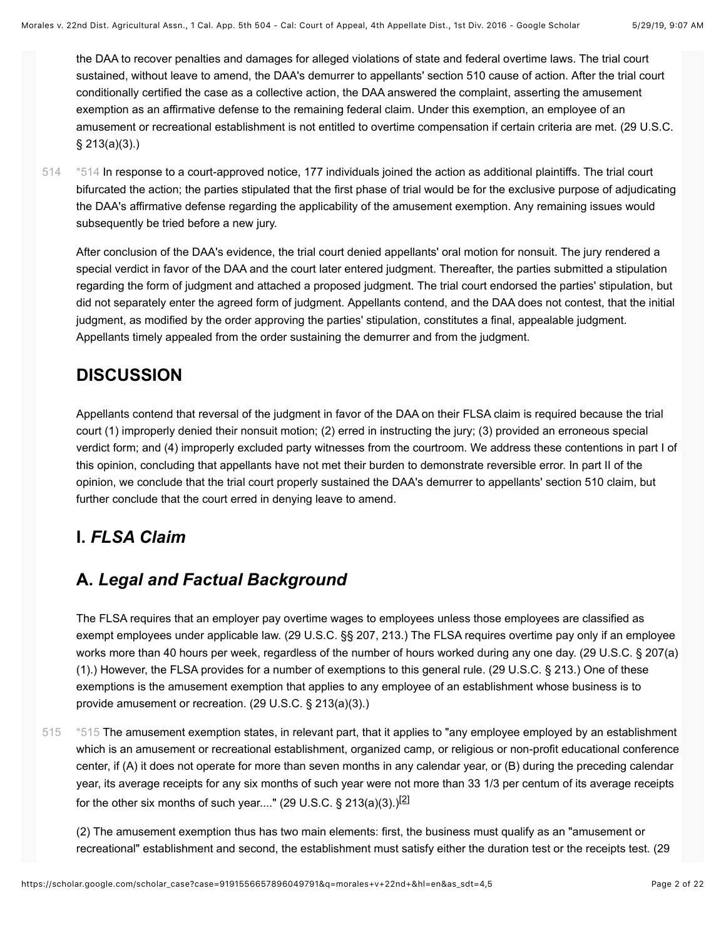the DAA to recover penalties and damages for alleged violations of state and federal overtime laws. The trial court sustained, without leave to amend, the DAA's demurrer to appellants' section 510 cause of action. After the trial court conditionally certified the case as a collective action, the DAA answered the complaint, asserting the amusement exemption as an affirmative defense to the remaining federal claim. Under this exemption, an employee of an amusement or recreational establishment is not entitled to overtime compensation if certain criteria are met. (29 U.S.C. § 213(a)(3).)

<span id="page-1-0"></span>[\\*514](#page-1-0) In response to a court-approved notice, 177 individuals joined the action as additional plaintiffs. The trial court bifurcated the action; the parties stipulated that the first phase of trial would be for the exclusive purpose of adjudicating the DAA's affirmative defense regarding the applicability of the amusement exemption. Any remaining issues would subsequently be tried before a new jury. [514](#page-1-0)

After conclusion of the DAA's evidence, the trial court denied appellants' oral motion for nonsuit. The jury rendered a special verdict in favor of the DAA and the court later entered judgment. Thereafter, the parties submitted a stipulation regarding the form of judgment and attached a proposed judgment. The trial court endorsed the parties' stipulation, but did not separately enter the agreed form of judgment. Appellants contend, and the DAA does not contest, that the initial judgment, as modified by the order approving the parties' stipulation, constitutes a final, appealable judgment. Appellants timely appealed from the order sustaining the demurrer and from the judgment.

### **DISCUSSION**

Appellants contend that reversal of the judgment in favor of the DAA on their FLSA claim is required because the trial court (1) improperly denied their nonsuit motion; (2) erred in instructing the jury; (3) provided an erroneous special verdict form; and (4) improperly excluded party witnesses from the courtroom. We address these contentions in part I of this opinion, concluding that appellants have not met their burden to demonstrate reversible error. In part II of the opinion, we conclude that the trial court properly sustained the DAA's demurrer to appellants' section 510 claim, but further conclude that the court erred in denying leave to amend.

### **I.** *FLSA Claim*

## **A.** *Legal and Factual Background*

The FLSA requires that an employer pay overtime wages to employees unless those employees are classified as exempt employees under applicable law. (29 U.S.C. §§ 207, 213.) The FLSA requires overtime pay only if an employee works more than 40 hours per week, regardless of the number of hours worked during any one day. (29 U.S.C. § 207(a) (1).) However, the FLSA provides for a number of exemptions to this general rule. (29 U.S.C. § 213.) One of these exemptions is the amusement exemption that applies to any employee of an establishment whose business is to provide amusement or recreation. (29 U.S.C. § 213(a)(3).)

<span id="page-1-1"></span>[\\*515](#page-1-1) The amusement exemption states, in relevant part, that it applies to "any employee employed by an establishment which is an amusement or recreational establishment, organized camp, or religious or non-profit educational conference center, if (A) it does not operate for more than seven months in any calendar year, or (B) during the preceding calendar year, its average receipts for any six months of such year were not more than 33 1/3 per centum of its average receipts for the other six months of such year...." (29 U.S.C. § 213(a)(3).)<sup>[\[2\]](#page-19-1)</sup> [515](#page-1-1)

<span id="page-1-2"></span>(2) The amusement exemption thus has two main elements: first, the business must qualify as an "amusement or recreational" establishment and second, the establishment must satisfy either the duration test or the receipts test. (29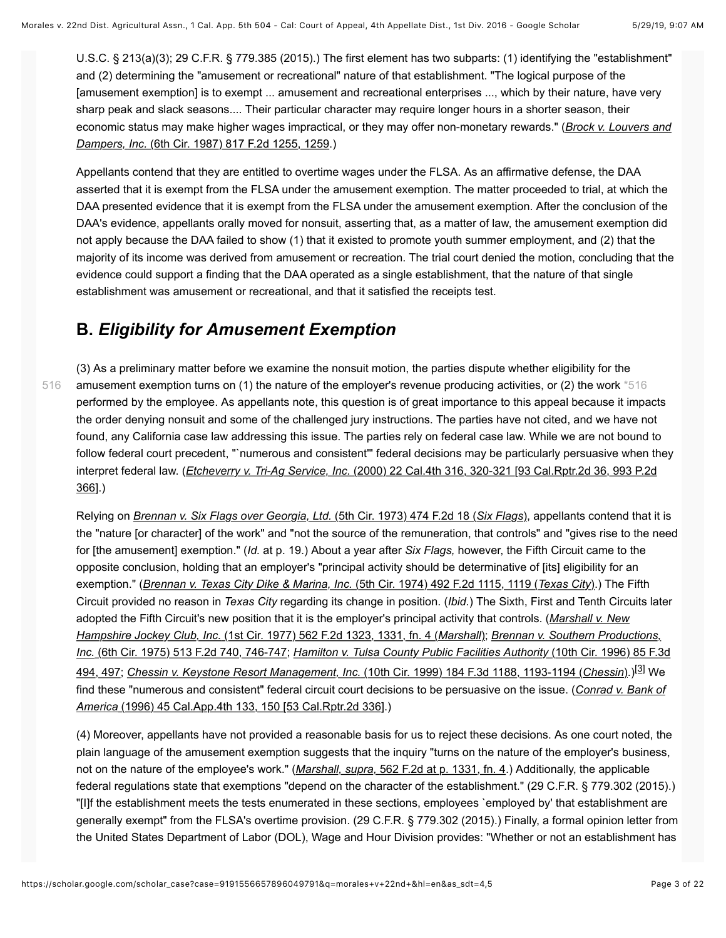U.S.C. § 213(a)(3); 29 C.F.R. § 779.385 (2015).) The first element has two subparts: (1) identifying the "establishment" and (2) determining the "amusement or recreational" nature of that establishment. "The logical purpose of the [amusement exemption] is to exempt ... amusement and recreational enterprises ..., which by their nature, have very sharp peak and slack seasons.... Their particular character may require longer hours in a shorter season, their [economic status may make higher wages impractical, or they may offer non-monetary rewards." \(](https://scholar.google.com/scholar_case?case=17351090993451496377&q=morales+v+22nd+&hl=en&as_sdt=4,5)*Brock v. Louvers and Dampers, Inc.* (6th Cir. 1987) 817 F.2d 1255, 1259.)

Appellants contend that they are entitled to overtime wages under the FLSA. As an affirmative defense, the DAA asserted that it is exempt from the FLSA under the amusement exemption. The matter proceeded to trial, at which the DAA presented evidence that it is exempt from the FLSA under the amusement exemption. After the conclusion of the DAA's evidence, appellants orally moved for nonsuit, asserting that, as a matter of law, the amusement exemption did not apply because the DAA failed to show (1) that it existed to promote youth summer employment, and (2) that the majority of its income was derived from amusement or recreation. The trial court denied the motion, concluding that the evidence could support a finding that the DAA operated as a single establishment, that the nature of that single establishment was amusement or recreational, and that it satisfied the receipts test.

#### <span id="page-2-0"></span>**B.** *Eligibility for Amusement Exemption*

[516](#page-2-0)

(3) As a preliminary matter before we examine the nonsuit motion, the parties dispute whether eligibility for the amusement exemption turns on (1) the nature of the employer's revenue producing activities, or (2) the work [\\*516](#page-2-0) performed by the employee. As appellants note, this question is of great importance to this appeal because it impacts the order denying nonsuit and some of the challenged jury instructions. The parties have not cited, and we have not found, any California case law addressing this issue. The parties rely on federal case law. While we are not bound to follow federal court precedent, "`numerous and consistent'" federal decisions may be particularly persuasive when they interpret federal law. (*Etcheverry v. Tri-Ag Service, Inc.* [\(2000\) 22 Cal.4th 316, 320-321 \[93 Cal.Rptr.2d 36, 993 P.2d](https://scholar.google.com/scholar_case?case=13737481198659768018&q=morales+v+22nd+&hl=en&as_sdt=4,5) 366].)

Relying on *[Brennan v. Six Flags over Georgia, Ltd.](https://scholar.google.com/scholar_case?case=6901665040216615442&q=morales+v+22nd+&hl=en&as_sdt=4,5)* (5th Cir. 1973) 474 F.2d 18 (*Six Flags*), appellants contend that it is the "nature [or character] of the work" and "not the source of the remuneration, that controls" and "gives rise to the need for [the amusement] exemption." (*Id.* at p. 19.) About a year after *Six Flags,* however, the Fifth Circuit came to the opposite conclusion, holding that an employer's "principal activity should be determinative of [its] eligibility for an exemption." (*[Brennan v. Texas City Dike & Marina, Inc.](https://scholar.google.com/scholar_case?case=5205917290899589643&q=morales+v+22nd+&hl=en&as_sdt=4,5)* (5th Cir. 1974) 492 F.2d 1115, 1119 (*Texas City*).) The Fifth Circuit provided no reason in *Texas City* regarding its change in position. (*Ibid.*) The Sixth, First and Tenth Circuits later [adopted the Fifth Circuit's new position that it is the employer's principal activity that controls. \(](https://scholar.google.com/scholar_case?case=11120818117759563359&q=morales+v+22nd+&hl=en&as_sdt=4,5)*Marshall v. New Hampshire Jockey Club, Inc.* (1st Cir. 1977) 562 F.2d 1323, 1331, fn. 4 (*Marshall*); *Brennan v. Southern Productions, Inc.* (6th Cir. 1975) 513 F.2d 740, 746-747; *[Hamilton v. Tulsa County Public Facilities Authority](https://scholar.google.com/scholar_case?case=8659266040752498527&q=morales+v+22nd+&hl=en&as_sdt=4,5)* (10th Cir. 1996) 85 F.3d 494, 497; *[Chessin v. Keystone Resort Management, Inc.](https://scholar.google.com/scholar_case?case=3124609706887070017&q=morales+v+22nd+&hl=en&as_sdt=4,5)* (10th Cir. 1999) 184 F.3d 1188, 1193-1194 (*Chessin*).)[\[3\]](#page-19-2) We [find these "numerous and consistent" federal circuit court decisions to be persuasive on the issue. \(](https://scholar.google.com/scholar_case?case=7188735776116086126&q=morales+v+22nd+&hl=en&as_sdt=4,5)*Conrad v. Bank of America* (1996) 45 Cal.App.4th 133, 150 [53 Cal.Rptr.2d 336].)

<span id="page-2-1"></span>(4) Moreover, appellants have not provided a reasonable basis for us to reject these decisions. As one court noted, the plain language of the amusement exemption suggests that the inquiry "turns on the nature of the employer's business, not on the nature of the employee's work." (*Marshall, supra,* [562 F.2d at p. 1331, fn. 4.](https://scholar.google.com/scholar_case?case=11120818117759563359&q=morales+v+22nd+&hl=en&as_sdt=4,5)) Additionally, the applicable federal regulations state that exemptions "depend on the character of the establishment." (29 C.F.R. § 779.302 (2015).) "[I]f the establishment meets the tests enumerated in these sections, employees `employed by' that establishment are generally exempt" from the FLSA's overtime provision. (29 C.F.R. § 779.302 (2015).) Finally, a formal opinion letter from the United States Department of Labor (DOL), Wage and Hour Division provides: "Whether or not an establishment has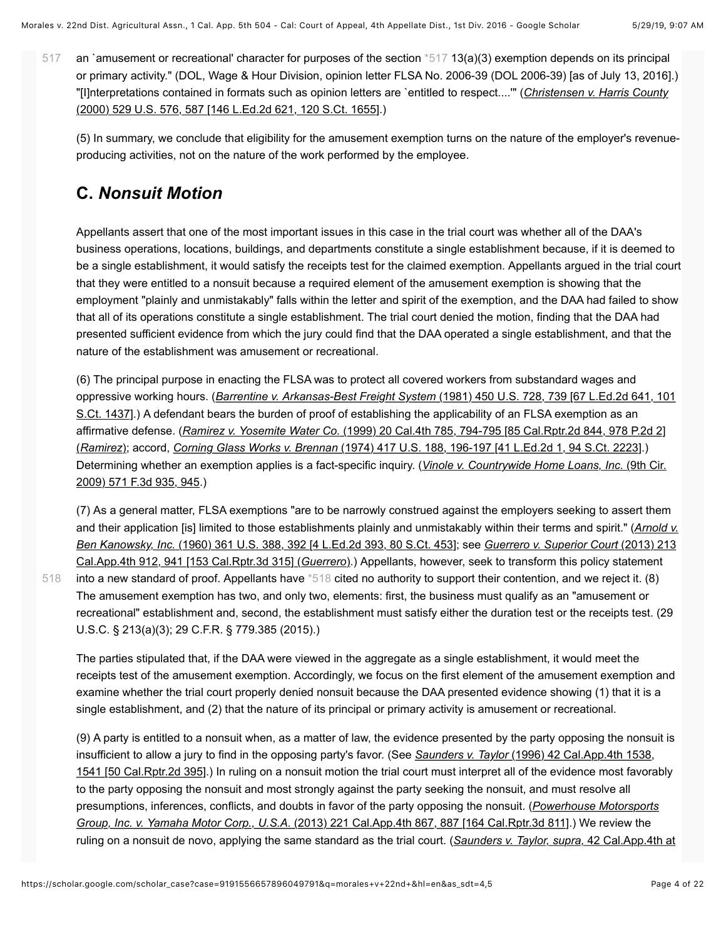an 'amusement or recreational' character for purposes of the section [\\*517](#page-3-0) 13(a)(3) exemption depends on its principal or primary activity." (DOL, Wage & Hour Division, opinion letter FLSA No. 2006-39 (DOL 2006-39) [as of July 13, 2016].) ["\[I\]nterpretations contained in formats such as opinion letters are `entitled to respect....'" \(](https://scholar.google.com/scholar_case?case=7186394148855877004&q=morales+v+22nd+&hl=en&as_sdt=4,5)*Christensen v. Harris County* (2000) 529 U.S. 576, 587 [146 L.Ed.2d 621, 120 S.Ct. 1655].) [517](#page-3-0)

<span id="page-3-0"></span>(5) In summary, we conclude that eligibility for the amusement exemption turns on the nature of the employer's revenueproducing activities, not on the nature of the work performed by the employee.

# **C.** *Nonsuit Motion*

[518](#page-3-1)

Appellants assert that one of the most important issues in this case in the trial court was whether all of the DAA's business operations, locations, buildings, and departments constitute a single establishment because, if it is deemed to be a single establishment, it would satisfy the receipts test for the claimed exemption. Appellants argued in the trial court that they were entitled to a nonsuit because a required element of the amusement exemption is showing that the employment "plainly and unmistakably" falls within the letter and spirit of the exemption, and the DAA had failed to show that all of its operations constitute a single establishment. The trial court denied the motion, finding that the DAA had presented sufficient evidence from which the jury could find that the DAA operated a single establishment, and that the nature of the establishment was amusement or recreational.

(6) The principal purpose in enacting the FLSA was to protect all covered workers from substandard wages and oppressive working hours. (*Barrentine v. Arkansas-Best Freight System* (1981) 450 U.S. 728, 739 [67 L.Ed.2d 641, 101 [S.Ct. 1437\].\) A defendant bears the burden of proof of establishing the applicability of an FLSA exemption as an](https://scholar.google.com/scholar_case?case=16543709975100191711&q=morales+v+22nd+&hl=en&as_sdt=4,5) affirmative defense. (*Ramirez v. Yosemite Water Co.* [\(1999\) 20 Cal.4th 785, 794-795 \[85 Cal.Rptr.2d 844, 978 P.2d 2\]](https://scholar.google.com/scholar_case?case=17614652477807661168&q=morales+v+22nd+&hl=en&as_sdt=4,5) (*Ramirez*); accord, *Corning Glass Works v. Brennan* [\(1974\) 417 U.S. 188, 196-197 \[41 L.Ed.2d 1, 94 S.Ct. 2223\]](https://scholar.google.com/scholar_case?case=7542299068311812851&q=morales+v+22nd+&hl=en&as_sdt=4,5).) [Determining whether an exemption applies is a fact-specific inquiry. \(](https://scholar.google.com/scholar_case?case=9935215433823501155&q=morales+v+22nd+&hl=en&as_sdt=4,5)*Vinole v. Countrywide Home Loans, Inc.* (9th Cir. 2009) 571 F.3d 935, 945.)

<span id="page-3-1"></span>(7) As a general matter, FLSA exemptions "are to be narrowly construed against the employers seeking to assert them [and their application \[is\] limited to those establishments plainly and unmistakably within their terms and spirit." \(](https://scholar.google.com/scholar_case?case=4083129590201380862&q=morales+v+22nd+&hl=en&as_sdt=4,5)*Arnold v. Ben Kanowsky, Inc.* (1960) 361 U.S. 388, 392 [4 L.Ed.2d 393, 80 S.Ct. 453]; see *Guerrero v. Superior Court* (2013) 213 Cal.App.4th 912, 941 [153 Cal.Rptr.3d 315] (*Guerrero*[\).\) Appellants, however, seek to transform this policy statement](https://scholar.google.com/scholar_case?case=1452708939598112017&q=morales+v+22nd+&hl=en&as_sdt=4,5) into a new standard of proof. Appellants have [\\*518](#page-3-1) cited no authority to support their contention, and we reject it. (8) The amusement exemption has two, and only two, elements: first, the business must qualify as an "amusement or recreational" establishment and, second, the establishment must satisfy either the duration test or the receipts test. (29 U.S.C. § 213(a)(3); 29 C.F.R. § 779.385 (2015).)

The parties stipulated that, if the DAA were viewed in the aggregate as a single establishment, it would meet the receipts test of the amusement exemption. Accordingly, we focus on the first element of the amusement exemption and examine whether the trial court properly denied nonsuit because the DAA presented evidence showing (1) that it is a single establishment, and (2) that the nature of its principal or primary activity is amusement or recreational.

(9) A party is entitled to a nonsuit when, as a matter of law, the evidence presented by the party opposing the nonsuit is insufficient to allow a jury to find in the opposing party's favor. (See *Saunders v. Taylor* (1996) 42 Cal.App.4th 1538, [1541 \[50 Cal.Rptr.2d 395\].\) In ruling on a nonsuit motion the trial court must interpret all of the evidence most favora](https://scholar.google.com/scholar_case?case=8678399689146361972&q=morales+v+22nd+&hl=en&as_sdt=4,5)bly to the party opposing the nonsuit and most strongly against the party seeking the nonsuit, and must resolve all [presumptions, inferences, conflicts, and doubts in favor of the party opposing the nonsuit. \(](https://scholar.google.com/scholar_case?case=14272419651509122515&q=morales+v+22nd+&hl=en&as_sdt=4,5)*Powerhouse Motorsports Group, Inc. v. Yamaha Motor Corp., U.S.A.* (2013) 221 Cal.App.4th 867, 887 [164 Cal.Rptr.3d 811].) We review the [ruling on a nonsuit de novo, applying the same standard as the trial court. \(](https://scholar.google.com/scholar_case?case=8678399689146361972&q=morales+v+22nd+&hl=en&as_sdt=4,5)*Saunders v. Taylor, supra,* 42 Cal.App.4th at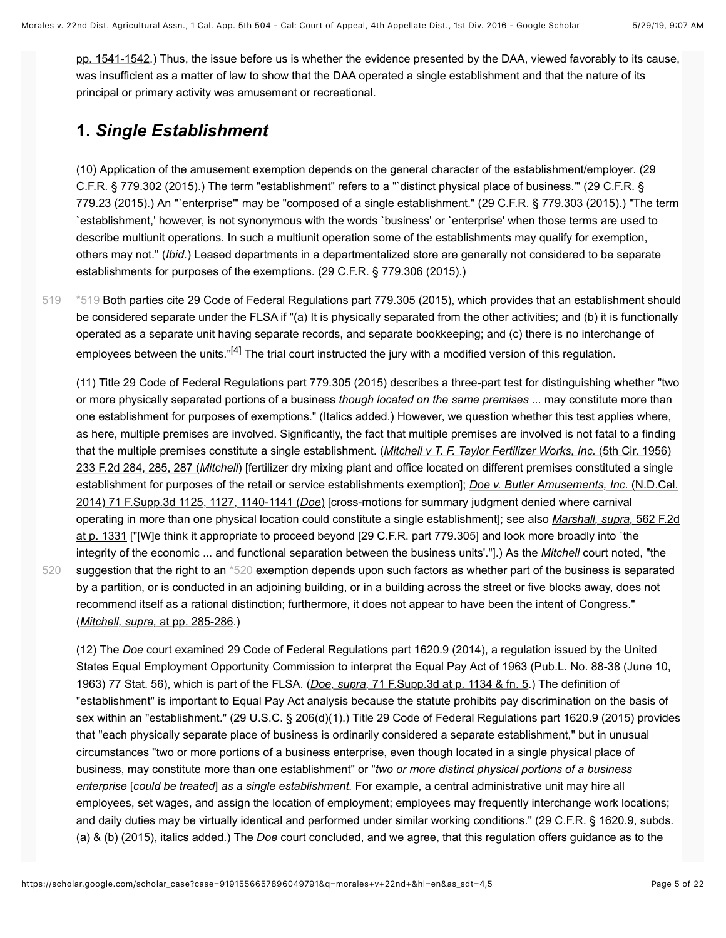[pp. 1541-1542.\) Thus, the issue before us is whether the evidence presented by the DAA, viewed favorably to its cause](https://scholar.google.com/scholar_case?case=8678399689146361972&q=morales+v+22nd+&hl=en&as_sdt=4,5), was insufficient as a matter of law to show that the DAA operated a single establishment and that the nature of its principal or primary activity was amusement or recreational.

#### **1.** *Single Establishment*

[520](#page-4-1)

(10) Application of the amusement exemption depends on the general character of the establishment/employer. (29 C.F.R. § 779.302 (2015).) The term "establishment" refers to a "`distinct physical place of business.'" (29 C.F.R. § 779.23 (2015).) An "`enterprise'" may be "composed of a single establishment." (29 C.F.R. § 779.303 (2015).) "The term `establishment,' however, is not synonymous with the words `business' or `enterprise' when those terms are used to describe multiunit operations. In such a multiunit operation some of the establishments may qualify for exemption, others may not." (*Ibid.*) Leased departments in a departmentalized store are generally not considered to be separate establishments for purposes of the exemptions. (29 C.F.R. § 779.306 (2015).)

<span id="page-4-0"></span>[\\*519](#page-4-0) Both parties cite 29 Code of Federal Regulations part 779.305 (2015), which provides that an establishment should be considered separate under the FLSA if "(a) It is physically separated from the other activities; and (b) it is functionally operated as a separate unit having separate records, and separate bookkeeping; and (c) there is no interchange of employees between the units." $[4]$  The trial court instructed the jury with a modified version of this regulation. [519](#page-4-0)

<span id="page-4-2"></span>(11) Title 29 Code of Federal Regulations part 779.305 (2015) describes a three-part test for distinguishing whether "two or more physically separated portions of a business *though located on the same premises* ... may constitute more than one establishment for purposes of exemptions." (Italics added.) However, we question whether this test applies where, as here, multiple premises are involved. Significantly, the fact that multiple premises are involved is not fatal to a finding that the multiple premises constitute a single establishment. (*Mitchell v T. F. Taylor Fertilizer Works, Inc.* (5th Cir. 1956) 233 F.2d 284, 285, 287 (*Mitchell*[\) \[fertilizer dry mixing plant and office located on different premises constituted a single](https://scholar.google.com/scholar_case?case=8688633890572262204&q=morales+v+22nd+&hl=en&as_sdt=4,5) [establishment for purposes of the retail or service establishments exemption\];](https://scholar.google.com/scholar_case?case=4581309710344635403&q=morales+v+22nd+&hl=en&as_sdt=4,5) *Doe v. Butler Amusements, Inc.* (N.D.Cal. 2014) 71 F.Supp.3d 1125, 1127, 1140-1141 (*Doe*) [cross-motions for summary judgment denied where carnival operating in more than one physical location could constitute a single establishment]; see also *Marshall, supra,* 562 F.2d [at p. 1331 \["\[W\]e think it appropriate to proceed beyond \[29 C.F.R. part 779.305\] and look more broadly into `the](https://scholar.google.com/scholar_case?case=11120818117759563359&q=morales+v+22nd+&hl=en&as_sdt=4,5) integrity of the economic ... and functional separation between the business units'."].) As the *Mitchell* court noted, "the suggestion that the right to an [\\*520](#page-4-1) exemption depends upon such factors as whether part of the business is separated by a partition, or is conducted in an adjoining building, or in a building across the street or five blocks away, does not recommend itself as a rational distinction; furthermore, it does not appear to have been the intent of Congress." (*Mitchell, supra,* [at pp. 285-286.](https://scholar.google.com/scholar_case?case=8688633890572262204&q=morales+v+22nd+&hl=en&as_sdt=4,5))

<span id="page-4-1"></span>(12) The *Doe* court examined 29 Code of Federal Regulations part 1620.9 (2014), a regulation issued by the United States Equal Employment Opportunity Commission to interpret the Equal Pay Act of 1963 (Pub.L. No. 88-38 (June 10, 1963) 77 Stat. 56), which is part of the FLSA. (*Doe, supra,* [71 F.Supp.3d at p. 1134 & fn. 5.](https://scholar.google.com/scholar_case?case=4581309710344635403&q=morales+v+22nd+&hl=en&as_sdt=4,5)) The definition of "establishment" is important to Equal Pay Act analysis because the statute prohibits pay discrimination on the basis of sex within an "establishment." (29 U.S.C. § 206(d)(1).) Title 29 Code of Federal Regulations part 1620.9 (2015) provides that "each physically separate place of business is ordinarily considered a separate establishment," but in unusual circumstances "two or more portions of a business enterprise, even though located in a single physical place of business, may constitute more than one establishment" or "*two or more distinct physical portions of a business enterprise* [*could be treated*] *as a single establishment.* For example, a central administrative unit may hire all employees, set wages, and assign the location of employment; employees may frequently interchange work locations; and daily duties may be virtually identical and performed under similar working conditions." (29 C.F.R. § 1620.9, subds. (a) & (b) (2015), italics added.) The *Doe* court concluded, and we agree, that this regulation offers guidance as to the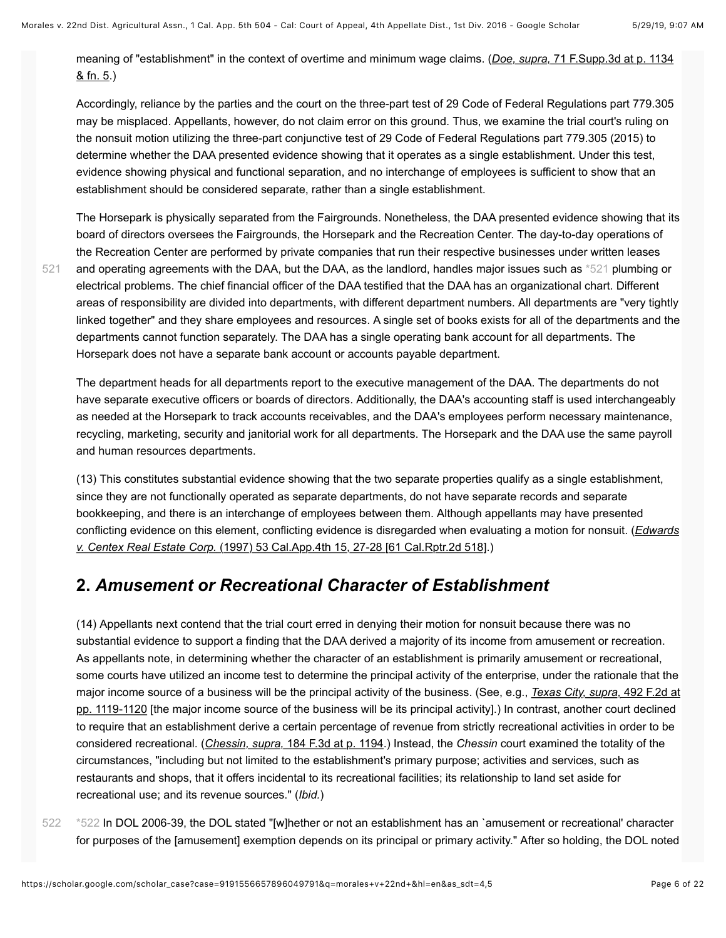[521](#page-5-0)

[meaning of "establishment" in the context of overtime and minimum wage claims. \(](https://scholar.google.com/scholar_case?case=4581309710344635403&q=morales+v+22nd+&hl=en&as_sdt=4,5)*Doe, supra,* 71 F.Supp.3d at p. 1134  $8$  fn. 5.)

Accordingly, reliance by the parties and the court on the three-part test of 29 Code of Federal Regulations part 779.305 may be misplaced. Appellants, however, do not claim error on this ground. Thus, we examine the trial court's ruling on the nonsuit motion utilizing the three-part conjunctive test of 29 Code of Federal Regulations part 779.305 (2015) to determine whether the DAA presented evidence showing that it operates as a single establishment. Under this test, evidence showing physical and functional separation, and no interchange of employees is sufficient to show that an establishment should be considered separate, rather than a single establishment.

<span id="page-5-0"></span>The Horsepark is physically separated from the Fairgrounds. Nonetheless, the DAA presented evidence showing that its board of directors oversees the Fairgrounds, the Horsepark and the Recreation Center. The day-to-day operations of the Recreation Center are performed by private companies that run their respective businesses under written leases and operating agreements with the DAA, but the DAA, as the landlord, handles major issues such as [\\*521](#page-5-0) plumbing or electrical problems. The chief financial officer of the DAA testified that the DAA has an organizational chart. Different areas of responsibility are divided into departments, with different department numbers. All departments are "very tightly linked together" and they share employees and resources. A single set of books exists for all of the departments and the departments cannot function separately. The DAA has a single operating bank account for all departments. The Horsepark does not have a separate bank account or accounts payable department.

The department heads for all departments report to the executive management of the DAA. The departments do not have separate executive officers or boards of directors. Additionally, the DAA's accounting staff is used interchangeably as needed at the Horsepark to track accounts receivables, and the DAA's employees perform necessary maintenance, recycling, marketing, security and janitorial work for all departments. The Horsepark and the DAA use the same payroll and human resources departments.

(13) This constitutes substantial evidence showing that the two separate properties qualify as a single establishment, since they are not functionally operated as separate departments, do not have separate records and separate bookkeeping, and there is an interchange of employees between them. Although appellants may have presented [conflicting evidence on this element, conflicting evidence is disregarded when evaluating a motion for nonsuit. \(](https://scholar.google.com/scholar_case?case=4408342859865103211&q=morales+v+22nd+&hl=en&as_sdt=4,5)*Edwards v. Centex Real Estate Corp.* (1997) 53 Cal.App.4th 15, 27-28 [61 Cal.Rptr.2d 518].)

#### **2.** *Amusement or Recreational Character of Establishment*

(14) Appellants next contend that the trial court erred in denying their motion for nonsuit because there was no substantial evidence to support a finding that the DAA derived a majority of its income from amusement or recreation. As appellants note, in determining whether the character of an establishment is primarily amusement or recreational, some courts have utilized an income test to determine the principal activity of the enterprise, under the rationale that the major income source of a business will be the principal activity of the business. (See, e.g., *Texas City, supra,* 492 F.2d at [pp. 1119-1120 \[the major income source of the business will be its principal activity\].\) In contrast, another court declined](https://scholar.google.com/scholar_case?case=5205917290899589643&q=morales+v+22nd+&hl=en&as_sdt=4,5) to require that an establishment derive a certain percentage of revenue from strictly recreational activities in order to be considered recreational. (*Chessin, supra,* [184 F.3d at p. 1194.](https://scholar.google.com/scholar_case?case=3124609706887070017&q=morales+v+22nd+&hl=en&as_sdt=4,5)) Instead, the *Chessin* court examined the totality of the circumstances, "including but not limited to the establishment's primary purpose; activities and services, such as restaurants and shops, that it offers incidental to its recreational facilities; its relationship to land set aside for recreational use; and its revenue sources." (*Ibid.*)

<span id="page-5-1"></span>[\\*522](#page-5-1) In DOL 2006-39, the DOL stated "[w]hether or not an establishment has an `amusement or recreational' character for purposes of the [amusement] exemption depends on its principal or primary activity." After so holding, the DOL noted [522](#page-5-1)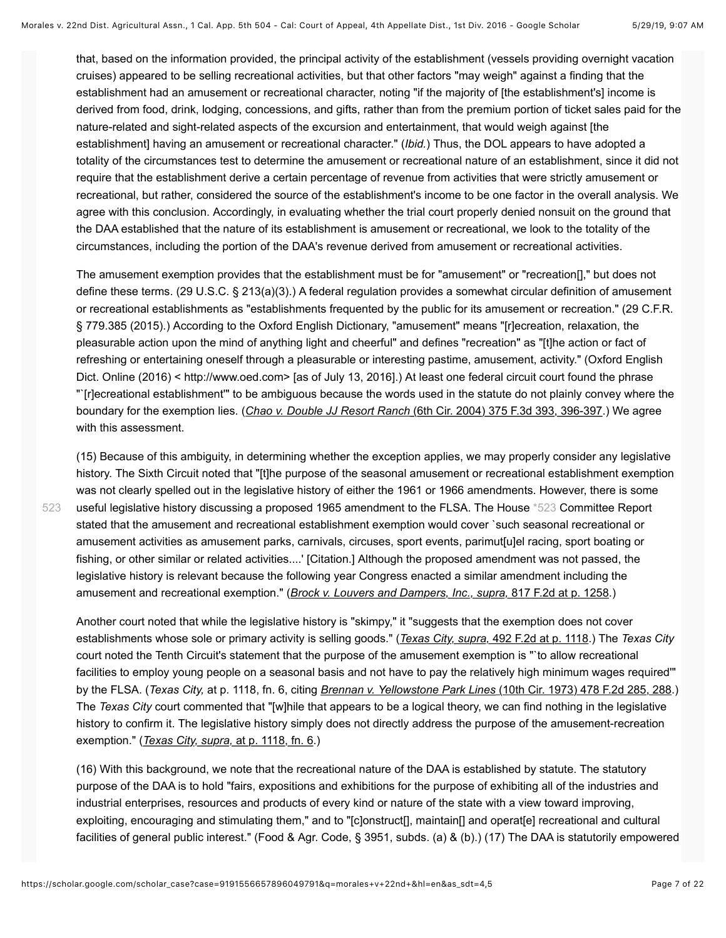that, based on the information provided, the principal activity of the establishment (vessels providing overnight vacation cruises) appeared to be selling recreational activities, but that other factors "may weigh" against a finding that the establishment had an amusement or recreational character, noting "if the majority of [the establishment's] income is derived from food, drink, lodging, concessions, and gifts, rather than from the premium portion of ticket sales paid for the nature-related and sight-related aspects of the excursion and entertainment, that would weigh against [the establishment] having an amusement or recreational character." (*Ibid.*) Thus, the DOL appears to have adopted a totality of the circumstances test to determine the amusement or recreational nature of an establishment, since it did not require that the establishment derive a certain percentage of revenue from activities that were strictly amusement or recreational, but rather, considered the source of the establishment's income to be one factor in the overall analysis. We agree with this conclusion. Accordingly, in evaluating whether the trial court properly denied nonsuit on the ground that the DAA established that the nature of its establishment is amusement or recreational, we look to the totality of the circumstances, including the portion of the DAA's revenue derived from amusement or recreational activities.

The amusement exemption provides that the establishment must be for "amusement" or "recreation[]," but does not define these terms. (29 U.S.C. § 213(a)(3).) A federal regulation provides a somewhat circular definition of amusement or recreational establishments as "establishments frequented by the public for its amusement or recreation." (29 C.F.R. § 779.385 (2015).) According to the Oxford English Dictionary, "amusement" means "[r]ecreation, relaxation, the pleasurable action upon the mind of anything light and cheerful" and defines "recreation" as "[t]he action or fact of refreshing or entertaining oneself through a pleasurable or interesting pastime, amusement, activity." (Oxford English Dict. Online (2016) < http://www.oed.com> [as of July 13, 2016].) At least one federal circuit court found the phrase "`[r]ecreational establishment'" to be ambiguous because the words used in the statute do not plainly convey where the boundary for the exemption lies. (*Chao v. Double JJ Resort Ranch* [\(6th Cir. 2004\) 375 F.3d 393, 396-397](https://scholar.google.com/scholar_case?case=4570800169648024737&q=morales+v+22nd+&hl=en&as_sdt=4,5).) We agree with this assessment.

<span id="page-6-0"></span>(15) Because of this ambiguity, in determining whether the exception applies, we may properly consider any legislative history. The Sixth Circuit noted that "[t]he purpose of the seasonal amusement or recreational establishment exemption was not clearly spelled out in the legislative history of either the 1961 or 1966 amendments. However, there is some useful legislative history discussing a proposed 1965 amendment to the FLSA. The House [\\*523](#page-6-0) Committee Report stated that the amusement and recreational establishment exemption would cover `such seasonal recreational or amusement activities as amusement parks, carnivals, circuses, sport events, parimut[u]el racing, sport boating or fishing, or other similar or related activities....' [Citation.] Although the proposed amendment was not passed, the legislative history is relevant because the following year Congress enacted a similar amendment including the amusement and recreational exemption." (*[Brock v. Louvers and Dampers, Inc., supra,](https://scholar.google.com/scholar_case?case=17351090993451496377&q=morales+v+22nd+&hl=en&as_sdt=4,5)* 817 F.2d at p. 1258.)

Another court noted that while the legislative history is "skimpy," it "suggests that the exemption does not cover establishments whose sole or primary activity is selling goods." (*Texas City, supra,* [492 F.2d at p. 1118](https://scholar.google.com/scholar_case?case=5205917290899589643&q=morales+v+22nd+&hl=en&as_sdt=4,5).) The *Texas City* court noted the Tenth Circuit's statement that the purpose of the amusement exemption is "`to allow recreational facilities to employ young people on a seasonal basis and not have to pay the relatively high minimum wages required'" by the FLSA. (*Texas City,* at p. 1118, fn. 6, citing *Brennan v. Yellowstone Park Lines* [\(10th Cir. 1973\) 478 F.2d 285, 288.](https://scholar.google.com/scholar_case?case=18026988575255417175&q=morales+v+22nd+&hl=en&as_sdt=4,5)) The *Texas City* court commented that "[w]hile that appears to be a logical theory, we can find nothing in the legislative history to confirm it. The legislative history simply does not directly address the purpose of the amusement-recreation exemption." (*[Texas City, supra,](https://scholar.google.com/scholar_case?case=5205917290899589643&q=morales+v+22nd+&hl=en&as_sdt=4,5)* at p. 1118, fn. 6.)

(16) With this background, we note that the recreational nature of the DAA is established by statute. The statutory purpose of the DAA is to hold "fairs, expositions and exhibitions for the purpose of exhibiting all of the industries and industrial enterprises, resources and products of every kind or nature of the state with a view toward improving, exploiting, encouraging and stimulating them," and to "[c]onstruct[], maintain[] and operat[e] recreational and cultural facilities of general public interest." (Food & Agr. Code, § 3951, subds. (a) & (b).) (17) The DAA is statutorily empowered

[523](#page-6-0)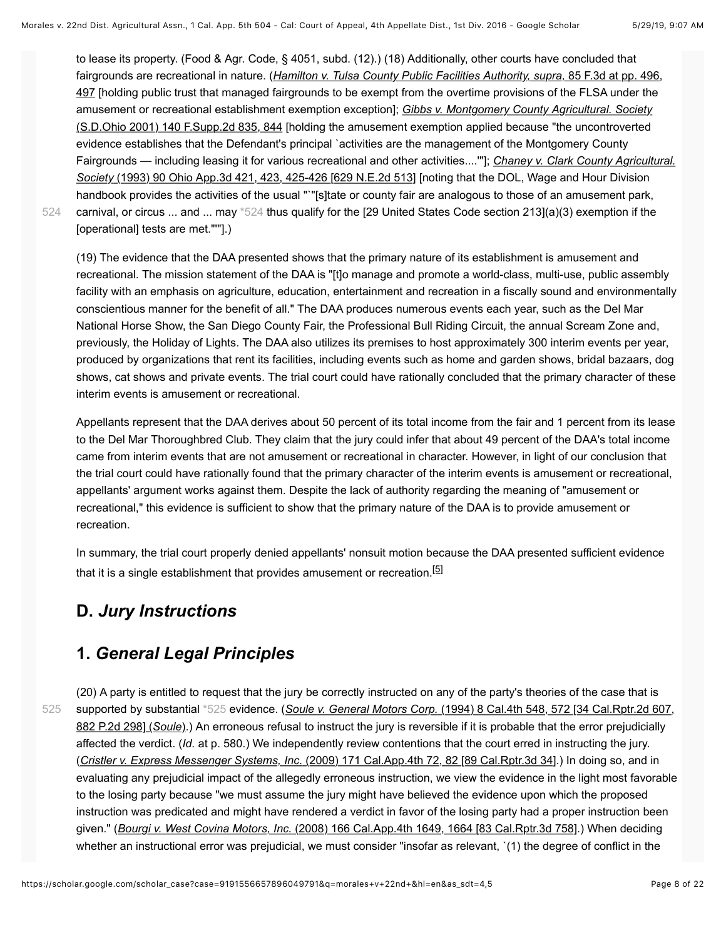to lease its property. (Food & Agr. Code, § 4051, subd. (12).) (18) Additionally, other courts have concluded that fairgrounds are recreational in nature. (*Hamilton v. Tulsa County Public Facilities Authority, supra,* 85 F.3d at pp. 496, [497 \[holding public trust that managed fairgrounds to be exempt from the overtime provisions of the FLSA under the](https://scholar.google.com/scholar_case?case=3368901323383932672&q=morales+v+22nd+&hl=en&as_sdt=4,5) amusement or recreational establishment exemption exception]; *Gibbs v. Montgomery County Agricultural. Society* [\(S.D.Ohio 2001\) 140 F.Supp.2d 835, 844 \[holding the amusement exemption applied because "the uncontroverted](https://scholar.google.com/scholar_case?case=17210586389890208826&q=morales+v+22nd+&hl=en&as_sdt=4,5) evidence establishes that the Defendant's principal `activities are the management of the Montgomery County Fairgrounds — including leasing it for various recreational and other activities....'"]; *Chaney v. Clark County Agricultural. Society* [\(1993\) 90 Ohio App.3d 421, 423, 425-426 \[629 N.E.2d 513\] \[noting that the DOL, Wage and Hour Division](https://scholar.google.com/scholar_case?case=1734322212321804031&q=morales+v+22nd+&hl=en&as_sdt=4,5) handbook provides the activities of the usual ""[s]tate or county fair are analogous to those of an amusement park, carnival, or circus ... and ... may [\\*524](#page-7-0) thus qualify for the [29 United States Code section 213](a)(3) exemption if the [operational] tests are met."'"].)

[524](#page-7-0)

<span id="page-7-0"></span>(19) The evidence that the DAA presented shows that the primary nature of its establishment is amusement and recreational. The mission statement of the DAA is "[t]o manage and promote a world-class, multi-use, public assembly facility with an emphasis on agriculture, education, entertainment and recreation in a fiscally sound and environmentally conscientious manner for the benefit of all." The DAA produces numerous events each year, such as the Del Mar National Horse Show, the San Diego County Fair, the Professional Bull Riding Circuit, the annual Scream Zone and, previously, the Holiday of Lights. The DAA also utilizes its premises to host approximately 300 interim events per year, produced by organizations that rent its facilities, including events such as home and garden shows, bridal bazaars, dog shows, cat shows and private events. The trial court could have rationally concluded that the primary character of these interim events is amusement or recreational.

Appellants represent that the DAA derives about 50 percent of its total income from the fair and 1 percent from its lease to the Del Mar Thoroughbred Club. They claim that the jury could infer that about 49 percent of the DAA's total income came from interim events that are not amusement or recreational in character. However, in light of our conclusion that the trial court could have rationally found that the primary character of the interim events is amusement or recreational, appellants' argument works against them. Despite the lack of authority regarding the meaning of "amusement or recreational," this evidence is sufficient to show that the primary nature of the DAA is to provide amusement or recreation.

<span id="page-7-2"></span>In summary, the trial court properly denied appellants' nonsuit motion because the DAA presented sufficient evidence that it is a single establishment that provides amusement or recreation.<sup>[\[5\]](#page-20-0)</sup>

#### **D.** *Jury Instructions*

#### **1.** *General Legal Principles*

[525](#page-7-1)

<span id="page-7-1"></span>(20) A party is entitled to request that the jury be correctly instructed on any of the party's theories of the case that is supported by substantial [\\*525](#page-7-1) evidence. (*Soule v. General Motors Corp.* (1994) 8 Cal.4th 548, 572 [34 Cal.Rptr.2d 607, 882 P.2d 298] (*Soule*[\).\) An erroneous refusal to instruct the jury is reversible if it is probable that the error prejudicially](https://scholar.google.com/scholar_case?case=307542246982882129&q=morales+v+22nd+&hl=en&as_sdt=4,5) affected the verdict. (*Id.* at p. 580.) We independently review contentions that the court erred in instructing the jury. (*Cristler v. Express Messenger Systems, Inc.* [\(2009\) 171 Cal.App.4th 72, 82 \[89 Cal.Rptr.3d 34\]](https://scholar.google.com/scholar_case?case=8172367553089026779&q=morales+v+22nd+&hl=en&as_sdt=4,5).) In doing so, and in evaluating any prejudicial impact of the allegedly erroneous instruction, we view the evidence in the light most favorable to the losing party because "we must assume the jury might have believed the evidence upon which the proposed instruction was predicated and might have rendered a verdict in favor of the losing party had a proper instruction been given." (*Bourgi v. West Covina Motors, Inc.* [\(2008\) 166 Cal.App.4th 1649, 1664 \[83 Cal.Rptr.3d 758\].](https://scholar.google.com/scholar_case?case=7195764782993255552&q=morales+v+22nd+&hl=en&as_sdt=4,5)) When deciding whether an instructional error was prejudicial, we must consider "insofar as relevant, `(1) the degree of conflict in the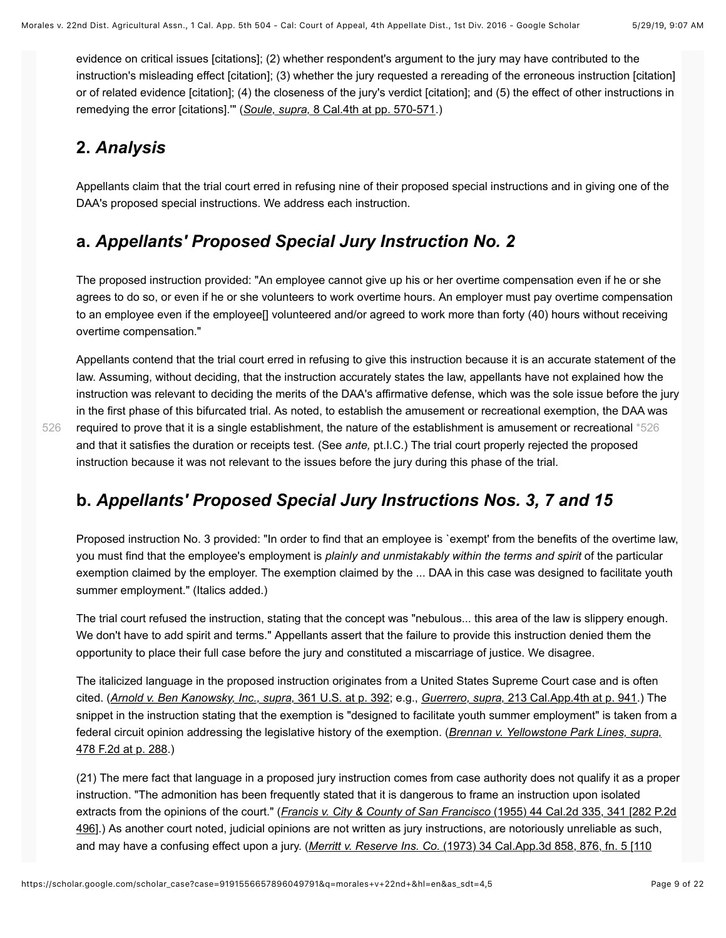evidence on critical issues [citations]; (2) whether respondent's argument to the jury may have contributed to the instruction's misleading effect [citation]; (3) whether the jury requested a rereading of the erroneous instruction [citation] or of related evidence [citation]; (4) the closeness of the jury's verdict [citation]; and (5) the effect of other instructions in remedying the error [citations].'" (*Soule, supra,* [8 Cal.4th at pp. 570-571](https://scholar.google.com/scholar_case?case=307542246982882129&q=morales+v+22nd+&hl=en&as_sdt=4,5).)

## **2.** *Analysis*

[526](#page-8-0)

Appellants claim that the trial court erred in refusing nine of their proposed special instructions and in giving one of the DAA's proposed special instructions. We address each instruction.

## **a.** *Appellants' Proposed Special Jury Instruction No. 2*

The proposed instruction provided: "An employee cannot give up his or her overtime compensation even if he or she agrees to do so, or even if he or she volunteers to work overtime hours. An employer must pay overtime compensation to an employee even if the employee[] volunteered and/or agreed to work more than forty (40) hours without receiving overtime compensation."

Appellants contend that the trial court erred in refusing to give this instruction because it is an accurate statement of the law. Assuming, without deciding, that the instruction accurately states the law, appellants have not explained how the instruction was relevant to deciding the merits of the DAA's affirmative defense, which was the sole issue before the jury in the first phase of this bifurcated trial. As noted, to establish the amusement or recreational exemption, the DAA was required to prove that it is a single establishment, the nature of the establishment is amusement or recreational [\\*526](#page-8-0) and that it satisfies the duration or receipts test. (See *ante,* pt.I.C.) The trial court properly rejected the proposed instruction because it was not relevant to the issues before the jury during this phase of the trial.

## <span id="page-8-0"></span>**b.** *Appellants' Proposed Special Jury Instructions Nos. 3, 7 and 15*

Proposed instruction No. 3 provided: "In order to find that an employee is `exempt' from the benefits of the overtime law, you must find that the employee's employment is *plainly and unmistakably within the terms and spirit* of the particular exemption claimed by the employer. The exemption claimed by the ... DAA in this case was designed to facilitate youth summer employment." (Italics added.)

The trial court refused the instruction, stating that the concept was "nebulous... this area of the law is slippery enough. We don't have to add spirit and terms." Appellants assert that the failure to provide this instruction denied them the opportunity to place their full case before the jury and constituted a miscarriage of justice. We disagree.

The italicized language in the proposed instruction originates from a United States Supreme Court case and is often cited. (*[Arnold v. Ben Kanowsky, Inc., supra,](https://scholar.google.com/scholar_case?case=4083129590201380862&q=morales+v+22nd+&hl=en&as_sdt=4,5)* 361 U.S. at p. 392; e.g., *Guerrero, supra,* [213 Cal.App.4th at p. 941](https://scholar.google.com/scholar_case?case=1452708939598112017&q=morales+v+22nd+&hl=en&as_sdt=4,5).) The snippet in the instruction stating that the exemption is "designed to facilitate youth summer employment" is taken from a [federal circuit opinion addressing the legislative history of the exemption. \(](https://scholar.google.com/scholar_case?case=18026988575255417175&q=morales+v+22nd+&hl=en&as_sdt=4,5)*Brennan v. Yellowstone Park Lines, supra,* 478 F.2d at p. 288.)

(21) The mere fact that language in a proposed jury instruction comes from case authority does not qualify it as a proper instruction. "The admonition has been frequently stated that it is dangerous to frame an instruction upon isolated extracts from the opinions of the court." (*Francis v. City & County of San Francisco* (1955) 44 Cal.2d 335, 341 [282 P.2d [496\].\) As another court noted, judicial opinions are not written as jury instructions, are notoriously unreliable as such,](https://scholar.google.com/scholar_case?case=11117947511252512809&q=morales+v+22nd+&hl=en&as_sdt=4,5) [and may have a confusing effect upon a jury. \(](https://scholar.google.com/scholar_case?case=11597490784555170138&q=morales+v+22nd+&hl=en&as_sdt=4,5)*Merritt v. Reserve Ins. Co.* (1973) 34 Cal.App.3d 858, 876, fn. 5 [110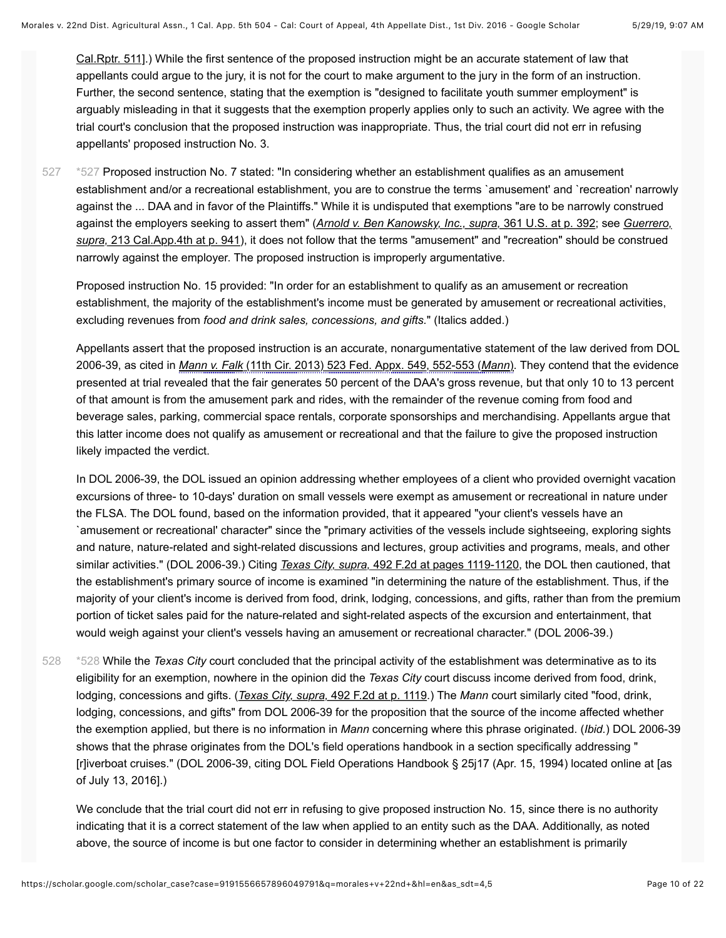[Cal.Rptr. 511\].\) While the first sentence of the proposed instruction might be an accurate statement of law that](https://scholar.google.com/scholar_case?case=11597490784555170138&q=morales+v+22nd+&hl=en&as_sdt=4,5) appellants could argue to the jury, it is not for the court to make argument to the jury in the form of an instruction. Further, the second sentence, stating that the exemption is "designed to facilitate youth summer employment" is arguably misleading in that it suggests that the exemption properly applies only to such an activity. We agree with the trial court's conclusion that the proposed instruction was inappropriate. Thus, the trial court did not err in refusing appellants' proposed instruction No. 3.

<span id="page-9-0"></span>[\\*527](#page-9-0) Proposed instruction No. 7 stated: "In considering whether an establishment qualifies as an amusement establishment and/or a recreational establishment, you are to construe the terms `amusement' and `recreation' narrowly against the ... DAA and in favor of the Plaintiffs." While it is undisputed that exemptions "are to be narrowly construed against the employers seeking to assert them" (*[Arnold v. Ben Kanowsky, Inc., supra,](https://scholar.google.com/scholar_case?case=4083129590201380862&q=morales+v+22nd+&hl=en&as_sdt=4,5)* 361 U.S. at p. 392; see *Guerrero, supra,* [213 Cal.App.4th at p. 941\), it does not follow that the terms "amusement" and "recreation" should be construed](https://scholar.google.com/scholar_case?case=1452708939598112017&q=morales+v+22nd+&hl=en&as_sdt=4,5) narrowly against the employer. The proposed instruction is improperly argumentative. [527](#page-9-0)

Proposed instruction No. 15 provided: "In order for an establishment to qualify as an amusement or recreation establishment, the majority of the establishment's income must be generated by amusement or recreational activities, excluding revenues from *food and drink sales, concessions, and gifts.*" (Italics added.)

Appellants assert that the proposed instruction is an accurate, nonargumentative statement of the law derived from DOL 2006-39, as cited in *Mann v. Falk* [\(11th Cir. 2013\) 523 Fed. Appx. 549, 552-553 \(](https://scholar.google.com/scholar_case?about=7139245408308223205&q=morales+v+22nd+&hl=en&as_sdt=4,5)*Mann*). They contend that the evidence presented at trial revealed that the fair generates 50 percent of the DAA's gross revenue, but that only 10 to 13 percent of that amount is from the amusement park and rides, with the remainder of the revenue coming from food and beverage sales, parking, commercial space rentals, corporate sponsorships and merchandising. Appellants argue that this latter income does not qualify as amusement or recreational and that the failure to give the proposed instruction likely impacted the verdict.

In DOL 2006-39, the DOL issued an opinion addressing whether employees of a client who provided overnight vacation excursions of three- to 10-days' duration on small vessels were exempt as amusement or recreational in nature under the FLSA. The DOL found, based on the information provided, that it appeared "your client's vessels have an `amusement or recreational' character" since the "primary activities of the vessels include sightseeing, exploring sights and nature, nature-related and sight-related discussions and lectures, group activities and programs, meals, and other similar activities." (DOL 2006-39.) Citing *Texas City, supra,* [492 F.2d at pages 1119-1120,](https://scholar.google.com/scholar_case?case=5205917290899589643&q=morales+v+22nd+&hl=en&as_sdt=4,5) the DOL then cautioned, that the establishment's primary source of income is examined "in determining the nature of the establishment. Thus, if the majority of your client's income is derived from food, drink, lodging, concessions, and gifts, rather than from the premium portion of ticket sales paid for the nature-related and sight-related aspects of the excursion and entertainment, that would weigh against your client's vessels having an amusement or recreational character." (DOL 2006-39.)

<span id="page-9-1"></span>[\\*528](#page-9-1) While the *Texas City* court concluded that the principal activity of the establishment was determinative as to its eligibility for an exemption, nowhere in the opinion did the *Texas City* court discuss income derived from food, drink, lodging, concessions and gifts. (*Texas City, supra,* [492 F.2d at p. 1119](https://scholar.google.com/scholar_case?case=5205917290899589643&q=morales+v+22nd+&hl=en&as_sdt=4,5).) The *Mann* court similarly cited "food, drink, lodging, concessions, and gifts" from DOL 2006-39 for the proposition that the source of the income affected whether the exemption applied, but there is no information in *Mann* concerning where this phrase originated. (*Ibid.*) DOL 2006-39 shows that the phrase originates from the DOL's field operations handbook in a section specifically addressing " [r]iverboat cruises." (DOL 2006-39, citing DOL Field Operations Handbook § 25j17 (Apr. 15, 1994) located online at [as of July 13, 2016].) [528](#page-9-1)

We conclude that the trial court did not err in refusing to give proposed instruction No. 15, since there is no authority indicating that it is a correct statement of the law when applied to an entity such as the DAA. Additionally, as noted above, the source of income is but one factor to consider in determining whether an establishment is primarily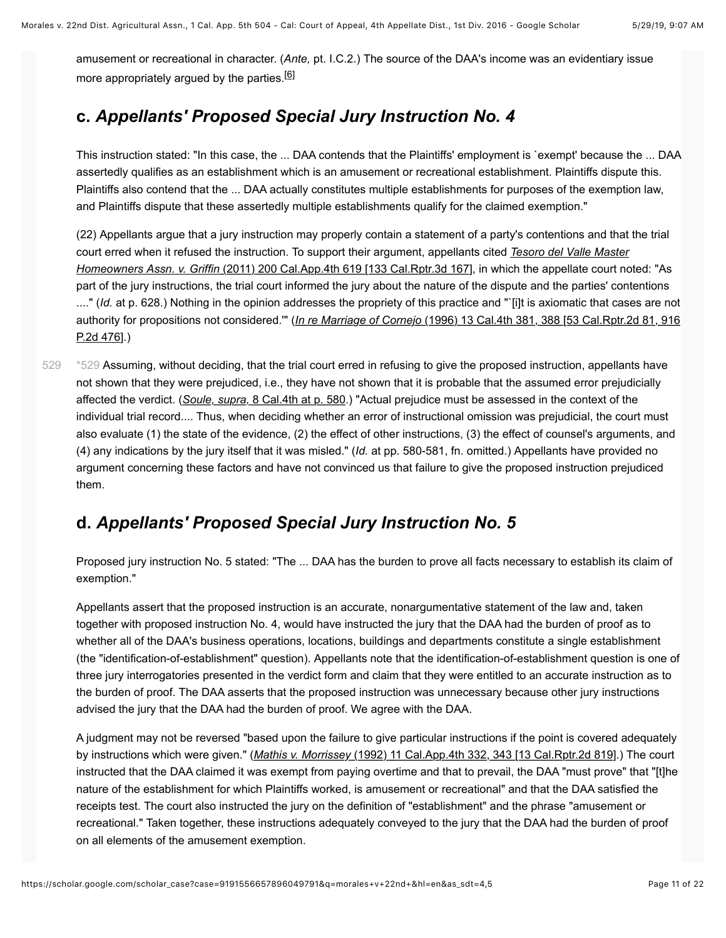<span id="page-10-1"></span>amusement or recreational in character. (*Ante,* pt. I.C.2.) The source of the DAA's income was an evidentiary issue more appropriately argued by the parties.<sup>[\[6\]](#page-20-1)</sup>

# **c.** *Appellants' Proposed Special Jury Instruction No. 4*

This instruction stated: "In this case, the ... DAA contends that the Plaintiffs' employment is `exempt' because the ... DAA assertedly qualifies as an establishment which is an amusement or recreational establishment. Plaintiffs dispute this. Plaintiffs also contend that the ... DAA actually constitutes multiple establishments for purposes of the exemption law, and Plaintiffs dispute that these assertedly multiple establishments qualify for the claimed exemption."

(22) Appellants argue that a jury instruction may properly contain a statement of a party's contentions and that the trial [court erred when it refused the instruction. To support their argument, appellants cited](https://scholar.google.com/scholar_case?case=9385141545486737376&q=morales+v+22nd+&hl=en&as_sdt=4,5) *Tesoro del Valle Master Homeowners Assn. v. Griffin* (2011) 200 Cal.App.4th 619 [133 Cal.Rptr.3d 167], in which the appellate court noted: "As part of the jury instructions, the trial court informed the jury about the nature of the dispute and the parties' contentions ...." (*Id.* at p. 628.) Nothing in the opinion addresses the propriety of this practice and "`[i]t is axiomatic that cases are not authority for propositions not considered.'" (*In re Marriage of Cornejo* [\(1996\) 13 Cal.4th 381, 388 \[53 Cal.Rptr.2d 81, 916](https://scholar.google.com/scholar_case?case=2570238490382269011&q=morales+v+22nd+&hl=en&as_sdt=4,5) P.2d 476].)

<span id="page-10-0"></span>[\\*529](#page-10-0) Assuming, without deciding, that the trial court erred in refusing to give the proposed instruction, appellants have not shown that they were prejudiced, i.e., they have not shown that it is probable that the assumed error prejudicially affected the verdict. (*Soule, supra,* [8 Cal.4th at p. 580.](https://scholar.google.com/scholar_case?case=307542246982882129&q=morales+v+22nd+&hl=en&as_sdt=4,5)) "Actual prejudice must be assessed in the context of the individual trial record.... Thus, when deciding whether an error of instructional omission was prejudicial, the court must also evaluate (1) the state of the evidence, (2) the effect of other instructions, (3) the effect of counsel's arguments, and (4) any indications by the jury itself that it was misled." (*Id.* at pp. 580-581, fn. omitted.) Appellants have provided no argument concerning these factors and have not convinced us that failure to give the proposed instruction prejudiced them. [529](#page-10-0)

### **d.** *Appellants' Proposed Special Jury Instruction No. 5*

Proposed jury instruction No. 5 stated: "The ... DAA has the burden to prove all facts necessary to establish its claim of exemption."

Appellants assert that the proposed instruction is an accurate, nonargumentative statement of the law and, taken together with proposed instruction No. 4, would have instructed the jury that the DAA had the burden of proof as to whether all of the DAA's business operations, locations, buildings and departments constitute a single establishment (the "identification-of-establishment" question). Appellants note that the identification-of-establishment question is one of three jury interrogatories presented in the verdict form and claim that they were entitled to an accurate instruction as to the burden of proof. The DAA asserts that the proposed instruction was unnecessary because other jury instructions advised the jury that the DAA had the burden of proof. We agree with the DAA.

A judgment may not be reversed "based upon the failure to give particular instructions if the point is covered adequately by instructions which were given." (*Mathis v. Morrissey* [\(1992\) 11 Cal.App.4th 332, 343 \[13 Cal.Rptr.2d 819\].](https://scholar.google.com/scholar_case?case=15688938485361330458&q=morales+v+22nd+&hl=en&as_sdt=4,5)) The court instructed that the DAA claimed it was exempt from paying overtime and that to prevail, the DAA "must prove" that "[t]he nature of the establishment for which Plaintiffs worked, is amusement or recreational" and that the DAA satisfied the receipts test. The court also instructed the jury on the definition of "establishment" and the phrase "amusement or recreational." Taken together, these instructions adequately conveyed to the jury that the DAA had the burden of proof on all elements of the amusement exemption.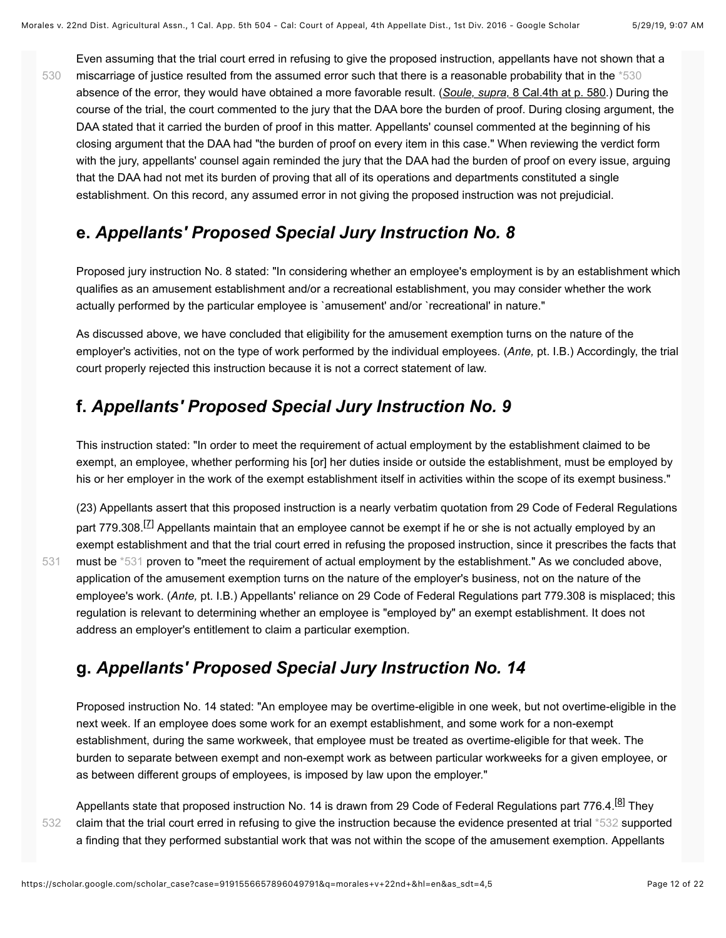<span id="page-11-0"></span>Even assuming that the trial court erred in refusing to give the proposed instruction, appellants have not shown that a miscarriage of justice resulted from the assumed error such that there is a reasonable probability that in the [\\*530](#page-11-0) absence of the error, they would have obtained a more favorable result. (*Soule, supra,* [8 Cal.4th at p. 580](https://scholar.google.com/scholar_case?case=307542246982882129&q=morales+v+22nd+&hl=en&as_sdt=4,5).) During the course of the trial, the court commented to the jury that the DAA bore the burden of proof. During closing argument, the DAA stated that it carried the burden of proof in this matter. Appellants' counsel commented at the beginning of his closing argument that the DAA had "the burden of proof on every item in this case." When reviewing the verdict form with the jury, appellants' counsel again reminded the jury that the DAA had the burden of proof on every issue, arguing that the DAA had not met its burden of proving that all of its operations and departments constituted a single establishment. On this record, any assumed error in not giving the proposed instruction was not prejudicial.

## **e.** *Appellants' Proposed Special Jury Instruction No. 8*

Proposed jury instruction No. 8 stated: "In considering whether an employee's employment is by an establishment which qualifies as an amusement establishment and/or a recreational establishment, you may consider whether the work actually performed by the particular employee is `amusement' and/or `recreational' in nature."

As discussed above, we have concluded that eligibility for the amusement exemption turns on the nature of the employer's activities, not on the type of work performed by the individual employees. (*Ante,* pt. I.B.) Accordingly, the trial court properly rejected this instruction because it is not a correct statement of law.

## **f.** *Appellants' Proposed Special Jury Instruction No. 9*

This instruction stated: "In order to meet the requirement of actual employment by the establishment claimed to be exempt, an employee, whether performing his [or] her duties inside or outside the establishment, must be employed by his or her employer in the work of the exempt establishment itself in activities within the scope of its exempt business."

<span id="page-11-3"></span><span id="page-11-1"></span>(23) Appellants assert that this proposed instruction is a nearly verbatim quotation from 29 Code of Federal Regulations part 779.308.<sup>[7]</sup> Appellants maintain that an employee cannot be exempt if he or she is not actually employed by an exempt establishment and that the trial court erred in refusing the proposed instruction, since it prescribes the facts that must be [\\*531](#page-11-1) proven to "meet the requirement of actual employment by the establishment." As we concluded above, application of the amusement exemption turns on the nature of the employer's business, not on the nature of the employee's work. (*Ante,* pt. I.B.) Appellants' reliance on 29 Code of Federal Regulations part 779.308 is misplaced; this regulation is relevant to determining whether an employee is "employed by" an exempt establishment. It does not address an employer's entitlement to claim a particular exemption.

## **g.** *Appellants' Proposed Special Jury Instruction No. 14*

<span id="page-11-4"></span>Proposed instruction No. 14 stated: "An employee may be overtime-eligible in one week, but not overtime-eligible in the next week. If an employee does some work for an exempt establishment, and some work for a non-exempt establishment, during the same workweek, that employee must be treated as overtime-eligible for that week. The burden to separate between exempt and non-exempt work as between particular workweeks for a given employee, or as between different groups of employees, is imposed by law upon the employer."

[532](#page-11-2)

[531](#page-11-1)

[530](#page-11-0)

<span id="page-11-2"></span>Appellants state that proposed instruction No. 14 is drawn from 29 Code of Federal Regulations part 776.4.<sup>[\[8\]](#page-20-3)</sup> They claim that the trial court erred in refusing to give the instruction because the evidence presented at trial [\\*532](#page-11-2) supported a finding that they performed substantial work that was not within the scope of the amusement exemption. Appellants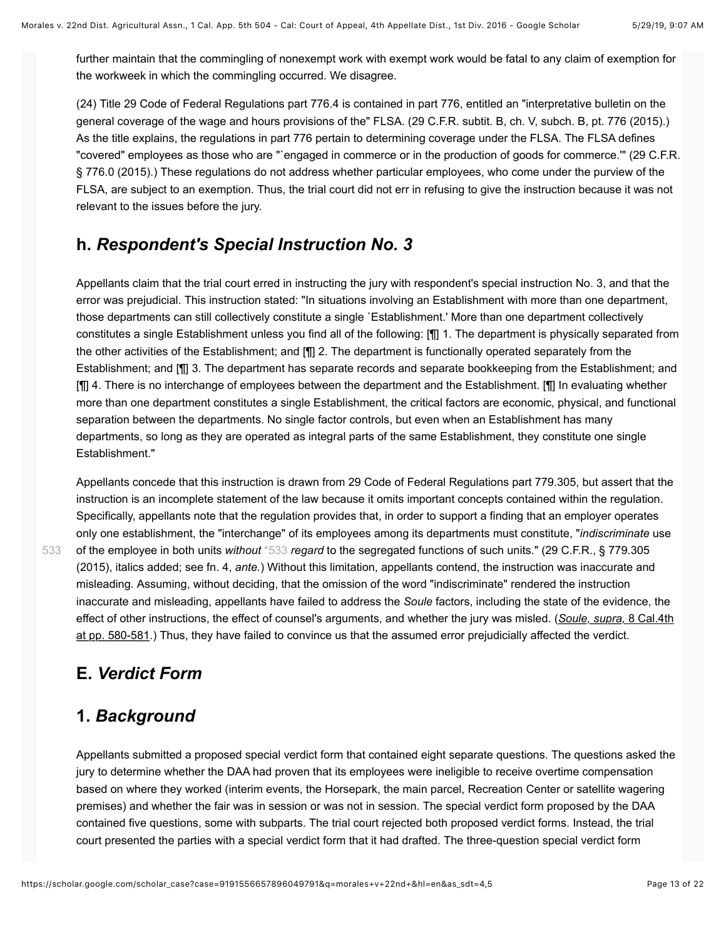further maintain that the commingling of nonexempt work with exempt work would be fatal to any claim of exemption for the workweek in which the commingling occurred. We disagree.

(24) Title 29 Code of Federal Regulations part 776.4 is contained in part 776, entitled an "interpretative bulletin on the general coverage of the wage and hours provisions of the" FLSA. (29 C.F.R. subtit. B, ch. V, subch. B, pt. 776 (2015).) As the title explains, the regulations in part 776 pertain to determining coverage under the FLSA. The FLSA defines "covered" employees as those who are "`engaged in commerce or in the production of goods for commerce.'" (29 C.F.R. § 776.0 (2015).) These regulations do not address whether particular employees, who come under the purview of the FLSA, are subject to an exemption. Thus, the trial court did not err in refusing to give the instruction because it was not relevant to the issues before the jury.

### **h.** *Respondent's Special Instruction No. 3*

Appellants claim that the trial court erred in instructing the jury with respondent's special instruction No. 3, and that the error was prejudicial. This instruction stated: "In situations involving an Establishment with more than one department, those departments can still collectively constitute a single `Establishment.' More than one department collectively constitutes a single Establishment unless you find all of the following: [¶] 1. The department is physically separated from the other activities of the Establishment; and [¶] 2. The department is functionally operated separately from the Establishment; and [¶] 3. The department has separate records and separate bookkeeping from the Establishment; and [¶] 4. There is no interchange of employees between the department and the Establishment. [¶] In evaluating whether more than one department constitutes a single Establishment, the critical factors are economic, physical, and functional separation between the departments. No single factor controls, but even when an Establishment has many departments, so long as they are operated as integral parts of the same Establishment, they constitute one single Establishment."

<span id="page-12-0"></span>Appellants concede that this instruction is drawn from 29 Code of Federal Regulations part 779.305, but assert that the instruction is an incomplete statement of the law because it omits important concepts contained within the regulation. Specifically, appellants note that the regulation provides that, in order to support a finding that an employer operates only one establishment, the "interchange" of its employees among its departments must constitute, "*indiscriminate* use of the employee in both units *without* [\\*533](#page-12-0) *regard* to the segregated functions of such units." (29 C.F.R., § 779.305 (2015), italics added; see fn. 4, *ante.*) Without this limitation, appellants contend, the instruction was inaccurate and misleading. Assuming, without deciding, that the omission of the word "indiscriminate" rendered the instruction inaccurate and misleading, appellants have failed to address the *Soule* factors, including the state of the evidence, the effect of other instructions, the effect of counsel's arguments, and whether the jury was misled. (*Soule, supra,* 8 Cal.4th [at pp. 580-581.\) Thus, they have failed to convince us that the assumed error prejudicially affected the verdict.](https://scholar.google.com/scholar_case?case=307542246982882129&q=morales+v+22nd+&hl=en&as_sdt=4,5)

## **E.** *Verdict Form*

[533](#page-12-0)

## **1.** *Background*

Appellants submitted a proposed special verdict form that contained eight separate questions. The questions asked the jury to determine whether the DAA had proven that its employees were ineligible to receive overtime compensation based on where they worked (interim events, the Horsepark, the main parcel, Recreation Center or satellite wagering premises) and whether the fair was in session or was not in session. The special verdict form proposed by the DAA contained five questions, some with subparts. The trial court rejected both proposed verdict forms. Instead, the trial court presented the parties with a special verdict form that it had drafted. The three-question special verdict form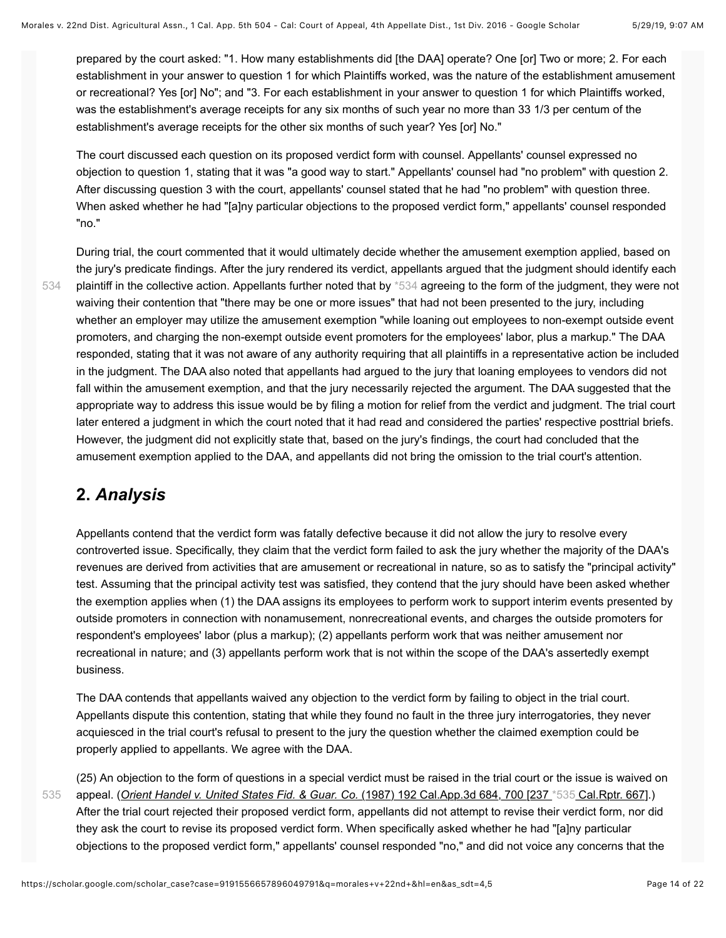prepared by the court asked: "1. How many establishments did [the DAA] operate? One [or] Two or more; 2. For each establishment in your answer to question 1 for which Plaintiffs worked, was the nature of the establishment amusement or recreational? Yes [or] No"; and "3. For each establishment in your answer to question 1 for which Plaintiffs worked, was the establishment's average receipts for any six months of such year no more than 33 1/3 per centum of the establishment's average receipts for the other six months of such year? Yes [or] No."

The court discussed each question on its proposed verdict form with counsel. Appellants' counsel expressed no objection to question 1, stating that it was "a good way to start." Appellants' counsel had "no problem" with question 2. After discussing question 3 with the court, appellants' counsel stated that he had "no problem" with question three. When asked whether he had "[a]ny particular objections to the proposed verdict form," appellants' counsel responded "no."

[534](#page-13-0)

<span id="page-13-0"></span>During trial, the court commented that it would ultimately decide whether the amusement exemption applied, based on the jury's predicate findings. After the jury rendered its verdict, appellants argued that the judgment should identify each plaintiff in the collective action. Appellants further noted that by [\\*534](#page-13-0) agreeing to the form of the judgment, they were not waiving their contention that "there may be one or more issues" that had not been presented to the jury, including whether an employer may utilize the amusement exemption "while loaning out employees to non-exempt outside event promoters, and charging the non-exempt outside event promoters for the employees' labor, plus a markup." The DAA responded, stating that it was not aware of any authority requiring that all plaintiffs in a representative action be included in the judgment. The DAA also noted that appellants had argued to the jury that loaning employees to vendors did not fall within the amusement exemption, and that the jury necessarily rejected the argument. The DAA suggested that the appropriate way to address this issue would be by filing a motion for relief from the verdict and judgment. The trial court later entered a judgment in which the court noted that it had read and considered the parties' respective posttrial briefs. However, the judgment did not explicitly state that, based on the jury's findings, the court had concluded that the amusement exemption applied to the DAA, and appellants did not bring the omission to the trial court's attention.

## **2.** *Analysis*

Appellants contend that the verdict form was fatally defective because it did not allow the jury to resolve every controverted issue. Specifically, they claim that the verdict form failed to ask the jury whether the majority of the DAA's revenues are derived from activities that are amusement or recreational in nature, so as to satisfy the "principal activity" test. Assuming that the principal activity test was satisfied, they contend that the jury should have been asked whether the exemption applies when (1) the DAA assigns its employees to perform work to support interim events presented by outside promoters in connection with nonamusement, nonrecreational events, and charges the outside promoters for respondent's employees' labor (plus a markup); (2) appellants perform work that was neither amusement nor recreational in nature; and (3) appellants perform work that is not within the scope of the DAA's assertedly exempt business.

<span id="page-13-1"></span>The DAA contends that appellants waived any objection to the verdict form by failing to object in the trial court. Appellants dispute this contention, stating that while they found no fault in the three jury interrogatories, they never acquiesced in the trial court's refusal to present to the jury the question whether the claimed exemption could be properly applied to appellants. We agree with the DAA.

(25) An objection to the form of questions in a special verdict must be raised in the trial court or the issue is waived on appeal. (*[Orient Handel v. United States Fid. & Guar. Co.](https://scholar.google.com/scholar_case?case=15903376409513316363&q=morales+v+22nd+&hl=en&as_sdt=4,5)* (1987) 192 Cal.App.3d 684, 700 [237 [\\*535](#page-13-1) [Cal.Rptr. 667\].](https://scholar.google.com/scholar_case?case=15903376409513316363&q=morales+v+22nd+&hl=en&as_sdt=4,5)) After the trial court rejected their proposed verdict form, appellants did not attempt to revise their verdict form, nor did they ask the court to revise its proposed verdict form. When specifically asked whether he had "[a]ny particular objections to the proposed verdict form," appellants' counsel responded "no," and did not voice any concerns that the [535](#page-13-1)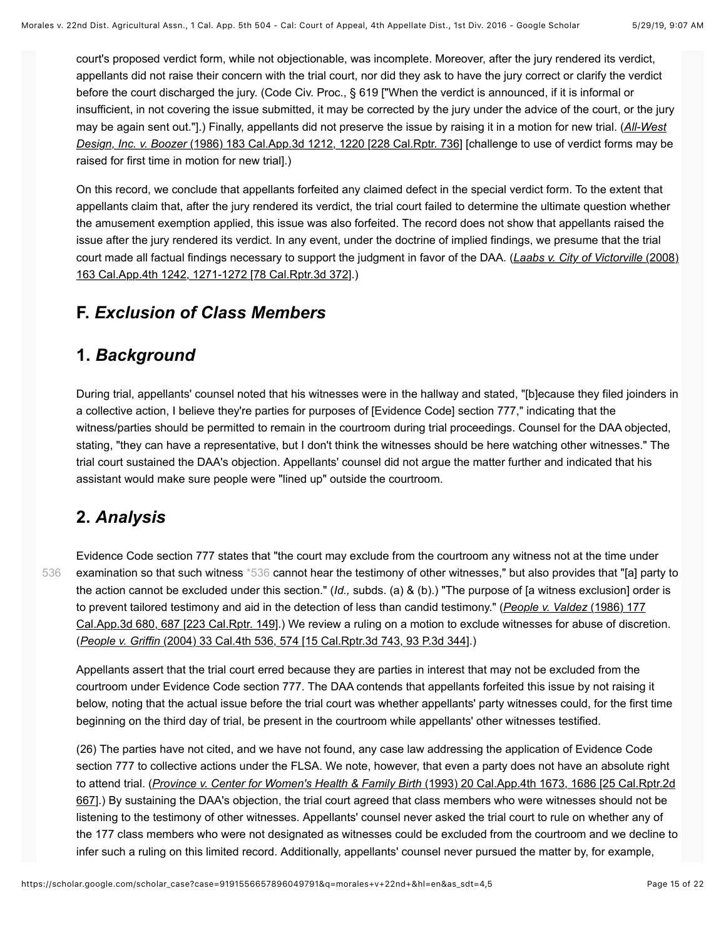court's proposed verdict form, while not objectionable, was incomplete. Moreover, after the jury rendered its verdict, appellants did not raise their concern with the trial court, nor did they ask to have the jury correct or clarify the verdict before the court discharged the jury. (Code Civ. Proc., § 619 ["When the verdict is announced, if it is informal or insufficient, in not covering the issue submitted, it may be corrected by the jury under the advice of the court, or the jury [may be again sent out."\].\) Finally, appellants did not preserve the issue by raising it in a motion for new trial. \(](https://scholar.google.com/scholar_case?case=15467798363181845086&q=morales+v+22nd+&hl=en&as_sdt=4,5)*All-West Design, Inc. v. Boozer* (1986) 183 Cal.App.3d 1212, 1220 [228 Cal.Rptr. 736] [challenge to use of verdict forms may be raised for first time in motion for new trial].)

On this record, we conclude that appellants forfeited any claimed defect in the special verdict form. To the extent that appellants claim that, after the jury rendered its verdict, the trial court failed to determine the ultimate question whether the amusement exemption applied, this issue was also forfeited. The record does not show that appellants raised the issue after the jury rendered its verdict. In any event, under the doctrine of implied findings, we presume that the trial [court made all factual findings necessary to support the judgment in favor of the DAA. \(](https://scholar.google.com/scholar_case?case=407802973054576498&q=morales+v+22nd+&hl=en&as_sdt=4,5)*Laabs v. City of Victorville* (2008) 163 Cal.App.4th 1242, 1271-1272 [78 Cal.Rptr.3d 372].)

## **F.** *Exclusion of Class Members*

### **1.** *Background*

During trial, appellants' counsel noted that his witnesses were in the hallway and stated, "[b]ecause they filed joinders in a collective action, I believe they're parties for purposes of [Evidence Code] section 777," indicating that the witness/parties should be permitted to remain in the courtroom during trial proceedings. Counsel for the DAA objected, stating, "they can have a representative, but I don't think the witnesses should be here watching other witnesses." The trial court sustained the DAA's objection. Appellants' counsel did not argue the matter further and indicated that his assistant would make sure people were "lined up" outside the courtroom.

## **2.** *Analysis*

[536](#page-14-0)

<span id="page-14-0"></span>Evidence Code section 777 states that "the court may exclude from the courtroom any witness not at the time under examination so that such witness [\\*536](#page-14-0) cannot hear the testimony of other witnesses," but also provides that "[a] party to the action cannot be excluded under this section." (*Id.,* subds. (a) & (b).) "The purpose of [a witness exclusion] order is to prevent tailored testimony and aid in the detection of less than candid testimony." (*People v. Valdez* (1986) 177 [Cal.App.3d 680, 687 \[223 Cal.Rptr. 149\].\) We review a ruling on a motion to exclude witnesses for abuse of discre](https://scholar.google.com/scholar_case?case=8291852601939729386&q=morales+v+22nd+&hl=en&as_sdt=4,5)tion. (*People v. Griffin* [\(2004\) 33 Cal.4th 536, 574 \[15 Cal.Rptr.3d 743, 93 P.3d 344\].](https://scholar.google.com/scholar_case?case=15526780798259830837&q=morales+v+22nd+&hl=en&as_sdt=4,5))

Appellants assert that the trial court erred because they are parties in interest that may not be excluded from the courtroom under Evidence Code section 777. The DAA contends that appellants forfeited this issue by not raising it below, noting that the actual issue before the trial court was whether appellants' party witnesses could, for the first time beginning on the third day of trial, be present in the courtroom while appellants' other witnesses testified.

(26) The parties have not cited, and we have not found, any case law addressing the application of Evidence Code section 777 to collective actions under the FLSA. We note, however, that even a party does not have an absolute right to attend trial. (*Province v. Center for Women's Health & Family Birth* (1993) 20 Cal.App.4th 1673, 1686 [25 Cal.Rptr.2d [667\].\) By sustaining the DAA's objection, the trial court agreed that class members who were witnesses should not be](https://scholar.google.com/scholar_case?case=3989004293878240722&q=morales+v+22nd+&hl=en&as_sdt=4,5) listening to the testimony of other witnesses. Appellants' counsel never asked the trial court to rule on whether any of the 177 class members who were not designated as witnesses could be excluded from the courtroom and we decline to infer such a ruling on this limited record. Additionally, appellants' counsel never pursued the matter by, for example,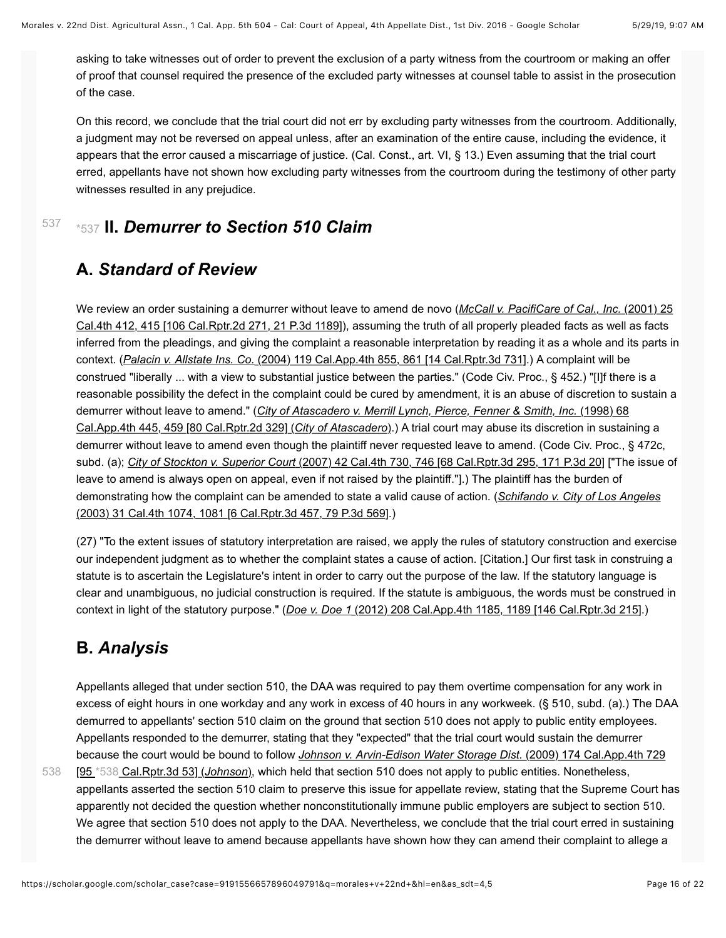asking to take witnesses out of order to prevent the exclusion of a party witness from the courtroom or making an offer of proof that counsel required the presence of the excluded party witnesses at counsel table to assist in the prosecution of the case.

On this record, we conclude that the trial court did not err by excluding party witnesses from the courtroom. Additionally, a judgment may not be reversed on appeal unless, after an examination of the entire cause, including the evidence, it appears that the error caused a miscarriage of justice. (Cal. Const., art. VI, § 13.) Even assuming that the trial court erred, appellants have not shown how excluding party witnesses from the courtroom during the testimony of other party witnesses resulted in any prejudice.

#### <span id="page-15-0"></span>[537](#page-15-0) [\\*537](#page-15-0) **II.** *Demurrer to Section 510 Claim*

## **A.** *Standard of Review*

We review an order sustaining a demurrer without leave to amend de novo (*McCall v. PacifiCare of Cal., Inc.* (2001) 25 [Cal.4th 412, 415 \[106 Cal.Rptr.2d 271, 21 P.3d 1189\]\), assuming the truth of all properly pleaded facts as well as facts](https://scholar.google.com/scholar_case?case=4235144995643865886&q=morales+v+22nd+&hl=en&as_sdt=4,5) inferred from the pleadings, and giving the complaint a reasonable interpretation by reading it as a whole and its parts in context. (*Palacin v. Allstate Ins. Co.* [\(2004\) 119 Cal.App.4th 855, 861 \[14 Cal.Rptr.3d 731\].](https://scholar.google.com/scholar_case?case=12884396122882219541&q=morales+v+22nd+&hl=en&as_sdt=4,5)) A complaint will be construed "liberally ... with a view to substantial justice between the parties." (Code Civ. Proc., § 452.) "[I]f there is a reasonable possibility the defect in the complaint could be cured by amendment, it is an abuse of discretion to sustain a demurrer without leave to amend." (*[City of Atascadero v. Merrill Lynch, Pierce, Fenner & Smith, Inc.](https://scholar.google.com/scholar_case?case=11674723754071302339&q=morales+v+22nd+&hl=en&as_sdt=4,5)* (1998) 68 Cal.App.4th 445, 459 [80 Cal.Rptr.2d 329] (*City of Atascadero*).) A trial court may abuse its discretion in sustaining a demurrer without leave to amend even though the plaintiff never requested leave to amend. (Code Civ. Proc., § 472c, subd. (a); *City of Stockton v. Superior Court* [\(2007\) 42 Cal.4th 730, 746 \[68 Cal.Rptr.3d 295, 171 P.3d 20\]](https://scholar.google.com/scholar_case?case=3234442113780705152&q=morales+v+22nd+&hl=en&as_sdt=4,5) ["The issue of leave to amend is always open on appeal, even if not raised by the plaintiff."].) The plaintiff has the burden of [demonstrating how the complaint can be amended to state a valid cause of action. \(](https://scholar.google.com/scholar_case?case=7579190948089783275&q=morales+v+22nd+&hl=en&as_sdt=4,5)*Schifando v. City of Los Angeles* (2003) 31 Cal.4th 1074, 1081 [6 Cal.Rptr.3d 457, 79 P.3d 569].)

(27) "To the extent issues of statutory interpretation are raised, we apply the rules of statutory construction and exercise our independent judgment as to whether the complaint states a cause of action. [Citation.] Our first task in construing a statute is to ascertain the Legislature's intent in order to carry out the purpose of the law. If the statutory language is clear and unambiguous, no judicial construction is required. If the statute is ambiguous, the words must be construed in context in light of the statutory purpose." (*Doe v. Doe 1* [\(2012\) 208 Cal.App.4th 1185, 1189 \[146 Cal.Rptr.3d 215\]](https://scholar.google.com/scholar_case?case=7554360729049685583&q=morales+v+22nd+&hl=en&as_sdt=4,5).)

# **B.** *Analysis*

Appellants alleged that under section 510, the DAA was required to pay them overtime compensation for any work in excess of eight hours in one workday and any work in excess of 40 hours in any workweek. (§ 510, subd. (a).) The DAA demurred to appellants' section 510 claim on the ground that section 510 does not apply to public entity employees. Appellants responded to the demurrer, stating that they "expected" that the trial court would sustain the demurrer because the court would be bound to follow *Johnson v. Arvin-Edison Water Storage Dist.* (2009) 174 Cal.App.4th 729

<span id="page-15-1"></span>[95 [\\*538](#page-15-1) [Cal.Rptr.3d 53\] \(](https://scholar.google.com/scholar_case?case=2829051749061413718&q=morales+v+22nd+&hl=en&as_sdt=4,5)*Johnson*[\), which held that section 510 does not apply to public entities. Nonetheless,](https://scholar.google.com/scholar_case?case=2829051749061413718&q=morales+v+22nd+&hl=en&as_sdt=4,5) appellants asserted the section 510 claim to preserve this issue for appellate review, stating that the Supreme Court has apparently not decided the question whether nonconstitutionally immune public employers are subject to section 510. We agree that section 510 does not apply to the DAA. Nevertheless, we conclude that the trial court erred in sustaining the demurrer without leave to amend because appellants have shown how they can amend their complaint to allege a [538](#page-15-1)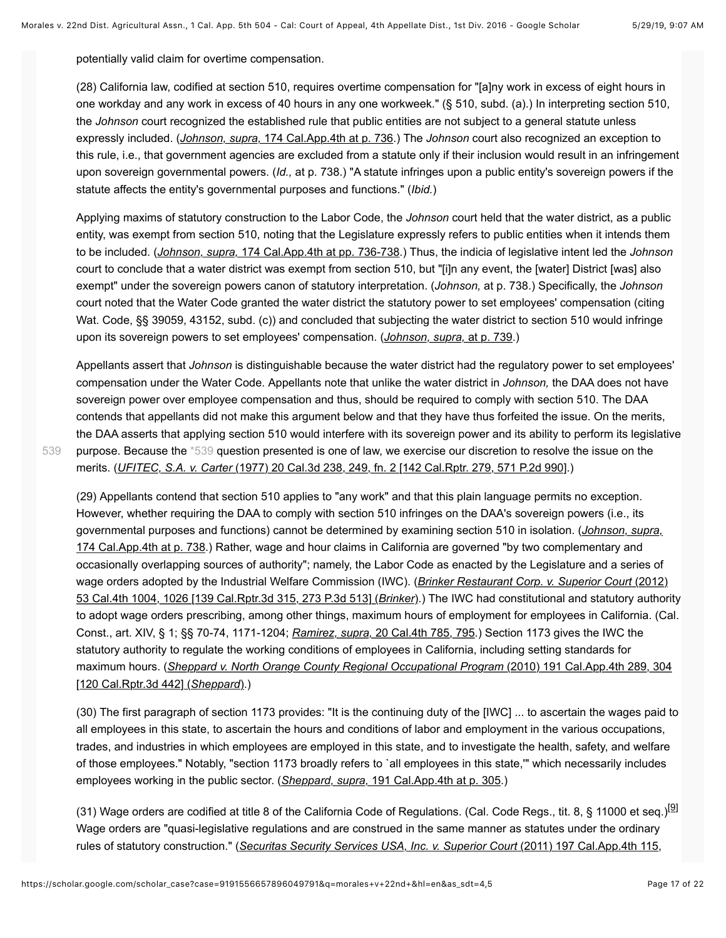potentially valid claim for overtime compensation.

(28) California law, codified at section 510, requires overtime compensation for "[a]ny work in excess of eight hours in one workday and any work in excess of 40 hours in any one workweek." (§ 510, subd. (a).) In interpreting section 510, the *Johnson* court recognized the established rule that public entities are not subject to a general statute unless expressly included. (*Johnson, supra,* [174 Cal.App.4th at p. 736.](https://scholar.google.com/scholar_case?case=2829051749061413718&q=morales+v+22nd+&hl=en&as_sdt=4,5)) The *Johnson* court also recognized an exception to this rule, i.e., that government agencies are excluded from a statute only if their inclusion would result in an infringement upon sovereign governmental powers. (*Id.,* at p. 738.) "A statute infringes upon a public entity's sovereign powers if the statute affects the entity's governmental purposes and functions." (*Ibid.*)

Applying maxims of statutory construction to the Labor Code, the *Johnson* court held that the water district, as a public entity, was exempt from section 510, noting that the Legislature expressly refers to public entities when it intends them to be included. (*Johnson, supra,* [174 Cal.App.4th at pp. 736-738](https://scholar.google.com/scholar_case?case=2829051749061413718&q=morales+v+22nd+&hl=en&as_sdt=4,5).) Thus, the indicia of legislative intent led the *Johnson* court to conclude that a water district was exempt from section 510, but "[i]n any event, the [water] District [was] also exempt" under the sovereign powers canon of statutory interpretation. (*Johnson,* at p. 738.) Specifically, the *Johnson* court noted that the Water Code granted the water district the statutory power to set employees' compensation (citing Wat. Code, §§ 39059, 43152, subd. (c)) and concluded that subjecting the water district to section 510 would infringe upon its sovereign powers to set employees' compensation. (*[Johnson, supra,](https://scholar.google.com/scholar_case?case=2829051749061413718&q=morales+v+22nd+&hl=en&as_sdt=4,5)* at p. 739.)

Appellants assert that *Johnson* is distinguishable because the water district had the regulatory power to set employees' compensation under the Water Code. Appellants note that unlike the water district in *Johnson,* the DAA does not have sovereign power over employee compensation and thus, should be required to comply with section 510. The DAA contends that appellants did not make this argument below and that they have thus forfeited the issue. On the merits, the DAA asserts that applying section 510 would interfere with its sovereign power and its ability to perform its legislative purpose. Because the [\\*539](#page-16-0) question presented is one of law, we exercise our discretion to resolve the issue on the merits. (*UFITEC, S.A. v. Carter* [\(1977\) 20 Cal.3d 238, 249, fn. 2 \[142 Cal.Rptr. 279, 571 P.2d 990\]](https://scholar.google.com/scholar_case?case=3252298349963211936&q=morales+v+22nd+&hl=en&as_sdt=4,5).)

[539](#page-16-0)

<span id="page-16-0"></span>(29) Appellants contend that section 510 applies to "any work" and that this plain language permits no exception. However, whether requiring the DAA to comply with section 510 infringes on the DAA's sovereign powers (i.e., its governmental purposes and functions) cannot be determined by examining section 510 in isolation. (*Johnson, supra,* [174 Cal.App.4th at p. 738.\) Rather, wage and hour claims in California are governed "by two complementary and](https://scholar.google.com/scholar_case?case=2829051749061413718&q=morales+v+22nd+&hl=en&as_sdt=4,5) occasionally overlapping sources of authority"; namely, the Labor Code as enacted by the Legislature and a series of [wage orders adopted by the Industrial Welfare Commission \(IWC\). \(](https://scholar.google.com/scholar_case?case=10842765792974217876&q=morales+v+22nd+&hl=en&as_sdt=4,5)*Brinker Restaurant Corp. v. Superior Court* (2012) 53 Cal.4th 1004, 1026 [139 Cal.Rptr.3d 315, 273 P.3d 513] (*Brinker*).) The IWC had constitutional and statutory authority to adopt wage orders prescribing, among other things, maximum hours of employment for employees in California. (Cal. Const., art. XIV, § 1; §§ 70-74, 1171-1204; *Ramirez, supra,* [20 Cal.4th 785, 795.](https://scholar.google.com/scholar_case?case=17614652477807661168&q=morales+v+22nd+&hl=en&as_sdt=4,5)) Section 1173 gives the IWC the statutory authority to regulate the working conditions of employees in California, including setting standards for maximum hours. (*[Sheppard v. North Orange County Regional Occupational Program](https://scholar.google.com/scholar_case?case=4177102700422848412&q=morales+v+22nd+&hl=en&as_sdt=4,5)* (2010) 191 Cal.App.4th 289, 304 [120 Cal.Rptr.3d 442] (*Sheppard*).)

(30) The first paragraph of section 1173 provides: "It is the continuing duty of the [IWC] ... to ascertain the wages paid to all employees in this state, to ascertain the hours and conditions of labor and employment in the various occupations, trades, and industries in which employees are employed in this state, and to investigate the health, safety, and welfare of those employees." Notably, "section 1173 broadly refers to `all employees in this state,'" which necessarily includes employees working in the public sector. (*Sheppard, supra,* [191 Cal.App.4th at p. 305](https://scholar.google.com/scholar_case?case=4177102700422848412&q=morales+v+22nd+&hl=en&as_sdt=4,5).)

<span id="page-16-1"></span>(31) Wage orders are codified at title 8 of the California Code of Regulations. (Cal. Code Regs., tit. 8, § 11000 et seq.)<sup>[9]</sup> Wage orders are "quasi-legislative regulations and are construed in the same manner as statutes under the ordinary rules of statutory construction." (*[Securitas Security Services USA, Inc. v. Superior Court](https://scholar.google.com/scholar_case?case=8303849170375869203&q=morales+v+22nd+&hl=en&as_sdt=4,5)* (2011) 197 Cal.App.4th 115,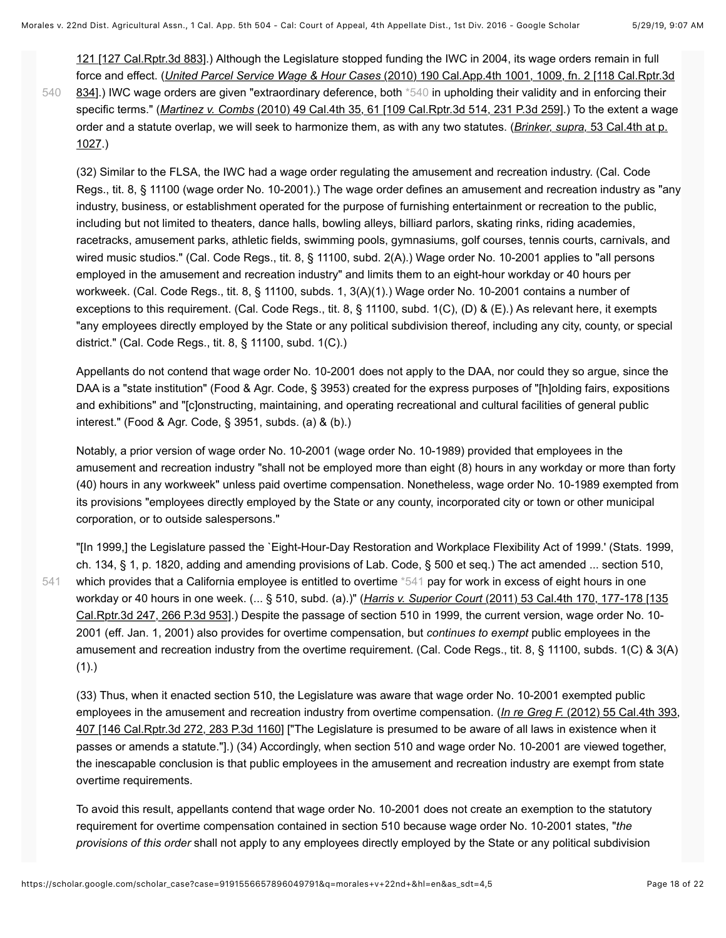[121 \[127 Cal.Rptr.3d 883\].\) Although the Legislature stopped funding the IWC in 2004, its wage orders remain in full](https://scholar.google.com/scholar_case?case=8303849170375869203&q=morales+v+22nd+&hl=en&as_sdt=4,5) force and effect. (*United Parcel Service Wage & Hour Cases* (2010) 190 Cal.App.4th 1001, 1009, fn. 2 [118 Cal.Rptr.3d [834\].\) IWC wage orders are given "extraordinary deference, both \\*540 in upholding their validity and in enforcing their](https://scholar.google.com/scholar_case?case=11015317965690418134&q=morales+v+22nd+&hl=en&as_sdt=4,5) specific terms." (*Martinez v. Combs* [\(2010\) 49 Cal.4th 35, 61 \[109 Cal.Rptr.3d 514, 231 P.3d 259\]](https://scholar.google.com/scholar_case?case=10726492506162838892&q=morales+v+22nd+&hl=en&as_sdt=4,5).) To the extent a wage [order and a statute overlap, we will seek to harmonize them, as with any two statutes. \(](https://scholar.google.com/scholar_case?case=10842765792974217876&q=morales+v+22nd+&hl=en&as_sdt=4,5)*Brinker, supra,* 53 Cal.4th at p. 1027.) [540](#page-17-0)

<span id="page-17-0"></span>(32) Similar to the FLSA, the IWC had a wage order regulating the amusement and recreation industry. (Cal. Code Regs., tit. 8, § 11100 (wage order No. 10-2001).) The wage order defines an amusement and recreation industry as "any industry, business, or establishment operated for the purpose of furnishing entertainment or recreation to the public, including but not limited to theaters, dance halls, bowling alleys, billiard parlors, skating rinks, riding academies, racetracks, amusement parks, athletic fields, swimming pools, gymnasiums, golf courses, tennis courts, carnivals, and wired music studios." (Cal. Code Regs., tit. 8, § 11100, subd. 2(A).) Wage order No. 10-2001 applies to "all persons employed in the amusement and recreation industry" and limits them to an eight-hour workday or 40 hours per workweek. (Cal. Code Regs., tit. 8, § 11100, subds. 1, 3(A)(1).) Wage order No. 10-2001 contains a number of exceptions to this requirement. (Cal. Code Regs., tit. 8, § 11100, subd. 1(C), (D) & (E).) As relevant here, it exempts "any employees directly employed by the State or any political subdivision thereof, including any city, county, or special district." (Cal. Code Regs., tit. 8, § 11100, subd. 1(C).)

Appellants do not contend that wage order No. 10-2001 does not apply to the DAA, nor could they so argue, since the DAA is a "state institution" (Food & Agr. Code, § 3953) created for the express purposes of "[h]olding fairs, expositions and exhibitions" and "[c]onstructing, maintaining, and operating recreational and cultural facilities of general public interest." (Food & Agr. Code, § 3951, subds. (a) & (b).)

Notably, a prior version of wage order No. 10-2001 (wage order No. 10-1989) provided that employees in the amusement and recreation industry "shall not be employed more than eight (8) hours in any workday or more than forty (40) hours in any workweek" unless paid overtime compensation. Nonetheless, wage order No. 10-1989 exempted from its provisions "employees directly employed by the State or any county, incorporated city or town or other municipal corporation, or to outside salespersons."

"[In 1999,] the Legislature passed the `Eight-Hour-Day Restoration and Workplace Flexibility Act of 1999.' (Stats. 1999, ch. 134, § 1, p. 1820, adding and amending provisions of Lab. Code, § 500 et seq.) The act amended ... section 510, which provides that a California employee is entitled to overtime [\\*541](#page-17-1) pay for work in excess of eight hours in one workday or 40 hours in one week. (... § 510, subd. (a).)" (*Harris v. Superior Court* (2011) 53 Cal.4th 170, 177-178 [135 [Cal.Rptr.3d 247, 266 P.3d 953\].\) Despite the passage of section 510 in 1999, the current version, wage order No. 10-](https://scholar.google.com/scholar_case?case=12065547142410328312&q=morales+v+22nd+&hl=en&as_sdt=4,5) 2001 (eff. Jan. 1, 2001) also provides for overtime compensation, but *continues to exempt* public employees in the amusement and recreation industry from the overtime requirement. (Cal. Code Regs., tit. 8, § 11100, subds. 1(C) & 3(A)  $(1).$ [541](#page-17-1)

<span id="page-17-1"></span>(33) Thus, when it enacted section 510, the Legislature was aware that wage order No. 10-2001 exempted public employees in the amusement and recreation industry from overtime compensation. (*In re Greg F.* (2012) 55 Cal.4th 393, [407 \[146 Cal.Rptr.3d 272, 283 P.3d 1160\] \["The Legislature is presumed to be aware of all laws in existence when it](https://scholar.google.com/scholar_case?case=12433952473332821031&q=morales+v+22nd+&hl=en&as_sdt=4,5) passes or amends a statute."].) (34) Accordingly, when section 510 and wage order No. 10-2001 are viewed together, the inescapable conclusion is that public employees in the amusement and recreation industry are exempt from state overtime requirements.

To avoid this result, appellants contend that wage order No. 10-2001 does not create an exemption to the statutory requirement for overtime compensation contained in section 510 because wage order No. 10-2001 states, "*the provisions of this order* shall not apply to any employees directly employed by the State or any political subdivision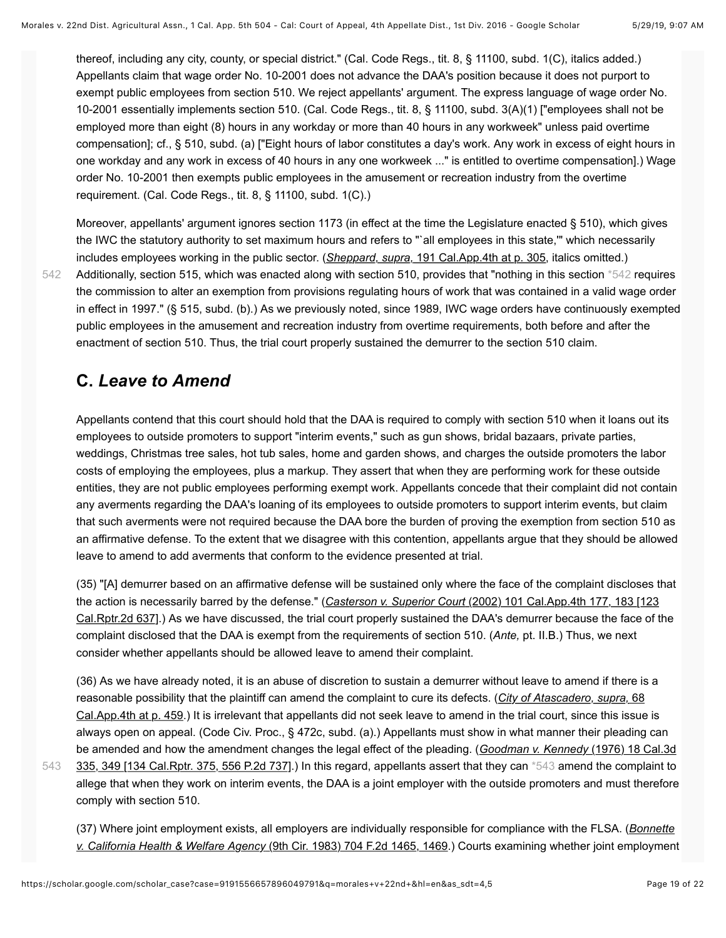thereof, including any city, county, or special district." (Cal. Code Regs., tit. 8, § 11100, subd. 1(C), italics added.) Appellants claim that wage order No. 10-2001 does not advance the DAA's position because it does not purport to exempt public employees from section 510. We reject appellants' argument. The express language of wage order No. 10-2001 essentially implements section 510. (Cal. Code Regs., tit. 8, § 11100, subd. 3(A)(1) ["employees shall not be employed more than eight (8) hours in any workday or more than 40 hours in any workweek" unless paid overtime compensation]; cf., § 510, subd. (a) ["Eight hours of labor constitutes a day's work. Any work in excess of eight hours in one workday and any work in excess of 40 hours in any one workweek ..." is entitled to overtime compensation].) Wage order No. 10-2001 then exempts public employees in the amusement or recreation industry from the overtime requirement. (Cal. Code Regs., tit. 8, § 11100, subd. 1(C).)

<span id="page-18-0"></span>Moreover, appellants' argument ignores section 1173 (in effect at the time the Legislature enacted § 510), which gives the IWC the statutory authority to set maximum hours and refers to "`all employees in this state,'" which necessarily includes employees working in the public sector. (*Sheppard, supra,* [191 Cal.App.4th at p. 305,](https://scholar.google.com/scholar_case?case=4177102700422848412&q=morales+v+22nd+&hl=en&as_sdt=4,5) italics omitted.) Additionally, section 515, which was enacted along with section 510, provides that "nothing in this section [\\*542](#page-18-0) requires the commission to alter an exemption from provisions regulating hours of work that was contained in a valid wage order in effect in 1997." (§ 515, subd. (b).) As we previously noted, since 1989, IWC wage orders have continuously exempted public employees in the amusement and recreation industry from overtime requirements, both before and after the enactment of section 510. Thus, the trial court properly sustained the demurrer to the section 510 claim.

### **C.** *Leave to Amend*

[542](#page-18-0)

[543](#page-18-1)

Appellants contend that this court should hold that the DAA is required to comply with section 510 when it loans out its employees to outside promoters to support "interim events," such as gun shows, bridal bazaars, private parties, weddings, Christmas tree sales, hot tub sales, home and garden shows, and charges the outside promoters the labor costs of employing the employees, plus a markup. They assert that when they are performing work for these outside entities, they are not public employees performing exempt work. Appellants concede that their complaint did not contain any averments regarding the DAA's loaning of its employees to outside promoters to support interim events, but claim that such averments were not required because the DAA bore the burden of proving the exemption from section 510 as an affirmative defense. To the extent that we disagree with this contention, appellants argue that they should be allowed leave to amend to add averments that conform to the evidence presented at trial.

(35) "[A] demurrer based on an affirmative defense will be sustained only where the face of the complaint discloses that the action is necessarily barred by the defense." (*Casterson v. Superior Court* (2002) 101 Cal.App.4th 177, 183 [123 [Cal.Rptr.2d 637\].\) As we have discussed, the trial court properly sustained the DAA's demurrer because the face of t](https://scholar.google.com/scholar_case?case=13547598651425063949&q=morales+v+22nd+&hl=en&as_sdt=4,5)he complaint disclosed that the DAA is exempt from the requirements of section 510. (*Ante,* pt. II.B.) Thus, we next consider whether appellants should be allowed leave to amend their complaint.

(36) As we have already noted, it is an abuse of discretion to sustain a demurrer without leave to amend if there is a reasonable possibility that the plaintiff can amend the complaint to cure its defects. (*City of Atascadero, supra,* 68 [Cal.App.4th at p. 459.\) It is irrelevant that appellants did not seek leave to amend in the trial court, since this issue](https://scholar.google.com/scholar_case?case=11674723754071302339&q=morales+v+22nd+&hl=en&as_sdt=4,5) is always open on appeal. (Code Civ. Proc., § 472c, subd. (a).) Appellants must show in what manner their pleading can be amended and how the amendment changes the legal effect of the pleading. (*Goodman v. Kennedy* (1976) 18 Cal.3d [335, 349 \[134 Cal.Rptr. 375, 556 P.2d 737\].\) In this regard, appellants assert that they can \\*543 amend the complaint to](https://scholar.google.com/scholar_case?case=6012852715872727354&q=morales+v+22nd+&hl=en&as_sdt=4,5) allege that when they work on interim events, the DAA is a joint employer with the outside promoters and must therefore comply with section 510.

<span id="page-18-1"></span>[\(37\) Where joint employment exists, all employers are individually responsible for compliance with the FLSA. \(](https://scholar.google.com/scholar_case?case=982655783262611916&q=morales+v+22nd+&hl=en&as_sdt=4,5)*Bonnette v. California Health & Welfare Agency* (9th Cir. 1983) 704 F.2d 1465, 1469.) Courts examining whether joint employment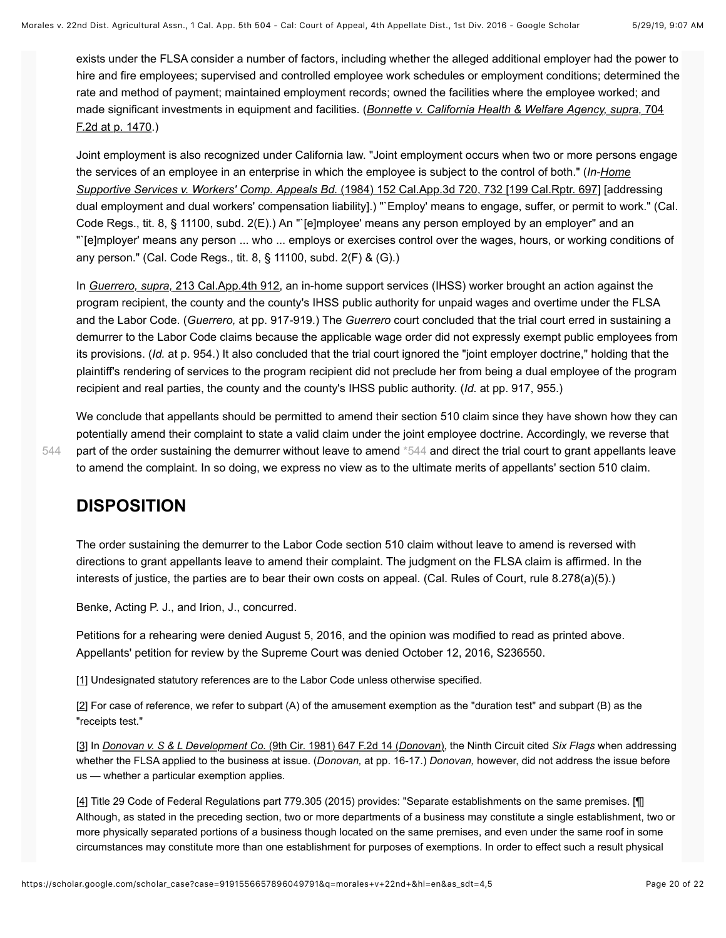exists under the FLSA consider a number of factors, including whether the alleged additional employer had the power to hire and fire employees; supervised and controlled employee work schedules or employment conditions; determined the rate and method of payment; maintained employment records; owned the facilities where the employee worked; and [made significant investments in equipment and facilities. \(](https://scholar.google.com/scholar_case?case=982655783262611916&q=morales+v+22nd+&hl=en&as_sdt=4,5)*Bonnette v. California Health & Welfare Agency, supra,* 704 F.2d at p. 1470.)

Joint employment is also recognized under California law. "Joint employment occurs when two or more persons engage [the services of an employee in an enterprise in which the employee is subject to the control of both." \(](https://scholar.google.com/scholar_case?case=311854067990165180&q=morales+v+22nd+&hl=en&as_sdt=4,5)*In-Home Supportive Services v. Workers' Comp. Appeals Bd.* (1984) 152 Cal.App.3d 720, 732 [199 Cal.Rptr. 697] [addressing dual employment and dual workers' compensation liability].) "`Employ' means to engage, suffer, or permit to work." (Cal. Code Regs., tit. 8, § 11100, subd. 2(E).) An "`[e]mployee' means any person employed by an employer" and an "`[e]mployer' means any person ... who ... employs or exercises control over the wages, hours, or working conditions of any person." (Cal. Code Regs., tit. 8, § 11100, subd. 2(F) & (G).)

In *Guerrero, supra,* [213 Cal.App.4th 912,](https://scholar.google.com/scholar_case?case=1452708939598112017&q=morales+v+22nd+&hl=en&as_sdt=4,5) an in-home support services (IHSS) worker brought an action against the program recipient, the county and the county's IHSS public authority for unpaid wages and overtime under the FLSA and the Labor Code. (*Guerrero,* at pp. 917-919.) The *Guerrero* court concluded that the trial court erred in sustaining a demurrer to the Labor Code claims because the applicable wage order did not expressly exempt public employees from its provisions. (*Id.* at p. 954.) It also concluded that the trial court ignored the "joint employer doctrine," holding that the plaintiff's rendering of services to the program recipient did not preclude her from being a dual employee of the program recipient and real parties, the county and the county's IHSS public authority. (*Id.* at pp. 917, 955.)

<span id="page-19-4"></span>We conclude that appellants should be permitted to amend their section 510 claim since they have shown how they can potentially amend their complaint to state a valid claim under the joint employee doctrine. Accordingly, we reverse that part of the order sustaining the demurrer without leave to amend [\\*544](#page-19-4) and direct the trial court to grant appellants leave to amend the complaint. In so doing, we express no view as to the ultimate merits of appellants' section 510 claim.

#### **DISPOSITION**

The order sustaining the demurrer to the Labor Code section 510 claim without leave to amend is reversed with directions to grant appellants leave to amend their complaint. The judgment on the FLSA claim is affirmed. In the interests of justice, the parties are to bear their own costs on appeal. (Cal. Rules of Court, rule 8.278(a)(5).)

Benke, Acting P. J., and Irion, J., concurred.

Petitions for a rehearing were denied August 5, 2016, and the opinion was modified to read as printed above. Appellants' petition for review by the Supreme Court was denied October 12, 2016, S236550.

<span id="page-19-0"></span>[\[1\]](#page-0-2) Undesignated statutory references are to the Labor Code unless otherwise specified.

<span id="page-19-1"></span> $[2]$  For case of reference, we refer to subpart (A) of the amusement exemption as the "duration test" and subpart (B) as the "receipts test."

<span id="page-19-2"></span>[\[3\]](#page-2-1) In *[Donovan v. S & L Development Co.](https://scholar.google.com/scholar_case?case=10967480303582025208&q=morales+v+22nd+&hl=en&as_sdt=4,5)* (9th Cir. 1981) 647 F.2d 14 (*Donovan*), the Ninth Circuit cited *Six Flags* when addressing whether the FLSA applied to the business at issue. (*Donovan,* at pp. 16-17.) *Donovan,* however, did not address the issue before us — whether a particular exemption applies.

<span id="page-19-3"></span>[\[4\]](#page-4-2) Title 29 Code of Federal Regulations part 779.305 (2015) provides: "Separate establishments on the same premises. [¶] Although, as stated in the preceding section, two or more departments of a business may constitute a single establishment, two or more physically separated portions of a business though located on the same premises, and even under the same roof in some circumstances may constitute more than one establishment for purposes of exemptions. In order to effect such a result physical